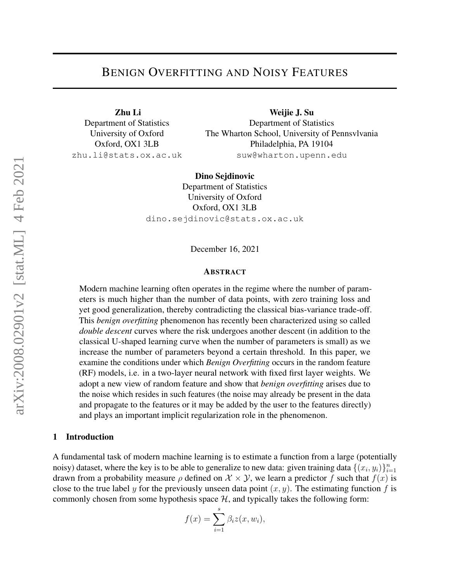# BENIGN OVERFITTING AND NOISY FEATURES

Zhu Li Department of Statistics University of Oxford Oxford, OX1 3LB zhu.li@stats.ox.ac.uk

Weijie J. Su Department of Statistics The Wharton School, University of Pennsvlvania Philadelphia, PA 19104 suw@wharton.upenn.edu

Dino Sejdinovic Department of Statistics University of Oxford Oxford, OX1 3LB dino.sejdinovic@stats.ox.ac.uk

December 16, 2021

#### ABSTRACT

Modern machine learning often operates in the regime where the number of parameters is much higher than the number of data points, with zero training loss and yet good generalization, thereby contradicting the classical bias-variance trade-off. This *benign overfitting* phenomenon has recently been characterized using so called *double descent* curves where the risk undergoes another descent (in addition to the classical U-shaped learning curve when the number of parameters is small) as we increase the number of parameters beyond a certain threshold. In this paper, we examine the conditions under which *Benign Overfitting* occurs in the random feature (RF) models, i.e. in a two-layer neural network with fixed first layer weights. We adopt a new view of random feature and show that *benign overfitting* arises due to the noise which resides in such features (the noise may already be present in the data and propagate to the features or it may be added by the user to the features directly) and plays an important implicit regularization role in the phenomenon.

#### 1 Introduction

A fundamental task of modern machine learning is to estimate a function from a large (potentially noisy) dataset, where the key is to be able to generalize to new data: given training data  $\{(x_i, y_i)\}_{i=1}^n$ drawn from a probability measure  $\rho$  defined on  $\mathcal{X} \times \mathcal{Y}$ , we learn a predictor f such that  $f(x)$  is close to the true label y for the previously unseen data point  $(x, y)$ . The estimating function f is commonly chosen from some hypothesis space  $H$ , and typically takes the following form:

$$
f(x) = \sum_{i=1}^{s} \beta_i z(x, w_i),
$$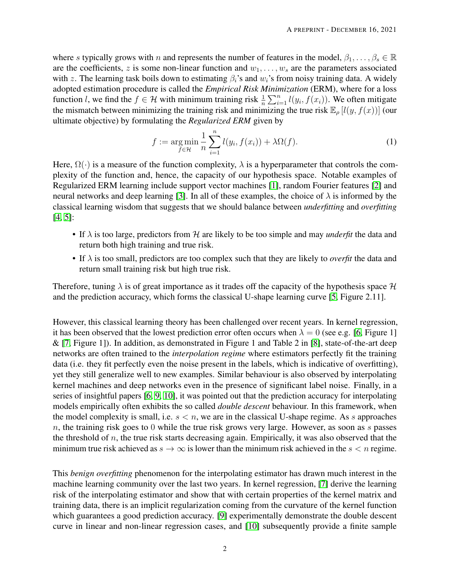where s typically grows with n and represents the number of features in the model,  $\beta_1, \ldots, \beta_s \in \mathbb{R}$ are the coefficients, z is some non-linear function and  $w_1, \ldots, w_s$  are the parameters associated with z. The learning task boils down to estimating  $\beta_i$ 's and  $w_i$ 's from noisy training data. A widely adopted estimation procedure is called the *Empirical Risk Minimization* (ERM), where for a loss function *l*, we find the  $f \in \mathcal{H}$  with minimum training risk  $\frac{1}{n} \sum_{i=1}^{n} l(y_i, f(x_i))$ . We often mitigate the mismatch between minimizing the training risk and minimizing the true risk  $\mathbb{E}_{\rho} [l(y, f(x))]$  (our ultimate objective) by formulating the *Regularized ERM* given by

<span id="page-1-0"></span>
$$
f := \underset{f \in \mathcal{H}}{\arg \min} \frac{1}{n} \sum_{i=1}^{n} l(y_i, f(x_i)) + \lambda \Omega(f). \tag{1}
$$

Here,  $\Omega(\cdot)$  is a measure of the function complexity,  $\lambda$  is a hyperparameter that controls the complexity of the function and, hence, the capacity of our hypothesis space. Notable examples of Regularized ERM learning include support vector machines [\[1\]](#page-26-0), random Fourier features [\[2\]](#page-26-1) and neural networks and deep learning [\[3\]](#page-26-2). In all of these examples, the choice of  $\lambda$  is informed by the classical learning wisdom that suggests that we should balance between *underfitting* and *overfitting* [\[4,](#page-26-3) [5\]](#page-26-4):

- If  $\lambda$  is too large, predictors from  $\mathcal H$  are likely to be too simple and may *underfit* the data and return both high training and true risk.
- If  $\lambda$  is too small, predictors are too complex such that they are likely to *overfit* the data and return small training risk but high true risk.

Therefore, tuning  $\lambda$  is of great importance as it trades off the capacity of the hypothesis space  $\mathcal H$ and the prediction accuracy, which forms the classical U-shape learning curve [\[5,](#page-26-4) Figure 2.11].

However, this classical learning theory has been challenged over recent years. In kernel regression, it has been observed that the lowest prediction error often occurs when  $\lambda = 0$  (see e.g. [\[6,](#page-26-5) Figure 1]  $\&$  [\[7,](#page-27-0) Figure 1]). In addition, as demonstrated in Figure 1 and Table 2 in [\[8\]](#page-27-1), state-of-the-art deep networks are often trained to the *interpolation regime* where estimators perfectly fit the training data (i.e. they fit perfectly even the noise present in the labels, which is indicative of overfitting), yet they still generalize well to new examples. Similar behaviour is also observed by interpolating kernel machines and deep networks even in the presence of significant label noise. Finally, in a series of insightful papers [\[6,](#page-26-5) [9,](#page-27-2) [10\]](#page-27-3), it was pointed out that the prediction accuracy for interpolating models empirically often exhibits the so called *double descent* behaviour. In this framework, when the model complexity is small, i.e.  $s < n$ , we are in the classical U-shape regime. As s approaches  $n$ , the training risk goes to 0 while the true risk grows very large. However, as soon as  $s$  passes the threshold of  $n$ , the true risk starts decreasing again. Empirically, it was also observed that the minimum true risk achieved as  $s \to \infty$  is lower than the minimum risk achieved in the  $s < n$  regime.

This *benign overfitting* phenomenon for the interpolating estimator has drawn much interest in the machine learning community over the last two years. In kernel regression, [\[7\]](#page-27-0) derive the learning risk of the interpolating estimator and show that with certain properties of the kernel matrix and training data, there is an implicit regularization coming from the curvature of the kernel function which guarantees a good prediction accuracy. [\[9\]](#page-27-2) experimentally demonstrate the double descent curve in linear and non-linear regression cases, and [\[10\]](#page-27-3) subsequently provide a finite sample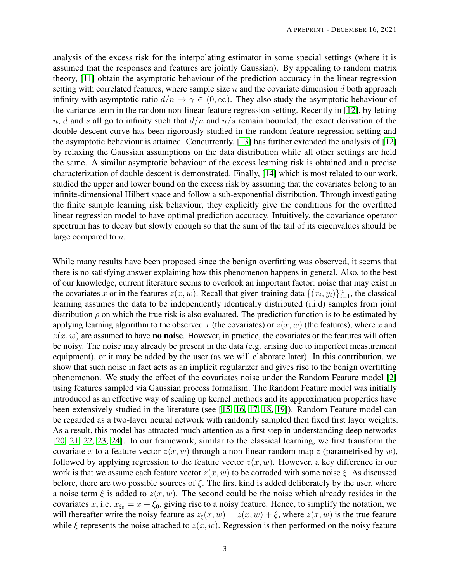analysis of the excess risk for the interpolating estimator in some special settings (where it is assumed that the responses and features are jointly Gaussian). By appealing to random matrix theory, [\[11\]](#page-27-4) obtain the asymptotic behaviour of the prediction accuracy in the linear regression setting with correlated features, where sample size  $n$  and the covariate dimension  $d$  both approach infinity with asymptotic ratio  $d/n \to \gamma \in (0,\infty)$ . They also study the asymptotic behaviour of the variance term in the random non-linear feature regression setting. Recently in [\[12\]](#page-27-5), by letting n, d and s all go to infinity such that  $d/n$  and  $n/s$  remain bounded, the exact derivation of the double descent curve has been rigorously studied in the random feature regression setting and the asymptotic behaviour is attained. Concurrently, [\[13\]](#page-27-6) has further extended the analysis of [\[12\]](#page-27-5) by relaxing the Gaussian assumptions on the data distribution while all other settings are held the same. A similar asymptotic behaviour of the excess learning risk is obtained and a precise characterization of double descent is demonstrated. Finally, [\[14\]](#page-27-7) which is most related to our work, studied the upper and lower bound on the excess risk by assuming that the covariates belong to an infinite-dimensional Hilbert space and follow a sub-exponential distribution. Through investigating the finite sample learning risk behaviour, they explicitly give the conditions for the overfitted linear regression model to have optimal prediction accuracy. Intuitively, the covariance operator spectrum has to decay but slowly enough so that the sum of the tail of its eigenvalues should be large compared to n.

While many results have been proposed since the benign overfitting was observed, it seems that there is no satisfying answer explaining how this phenomenon happens in general. Also, to the best of our knowledge, current literature seems to overlook an important factor: noise that may exist in the covariates x or in the features  $z(x, w)$ . Recall that given training data  $\{(x_i, y_i)\}_{i=1}^n$ , the classical learning assumes the data to be independently identically distributed (i.i.d) samples from joint distribution  $\rho$  on which the true risk is also evaluated. The prediction function is to be estimated by applying learning algorithm to the observed x (the covariates) or  $z(x, w)$  (the features), where x and  $z(x, w)$  are assumed to have **no noise**. However, in practice, the covariates or the features will often be noisy. The noise may already be present in the data (e.g. arising due to imperfect measurement equipment), or it may be added by the user (as we will elaborate later). In this contribution, we show that such noise in fact acts as an implicit regularizer and gives rise to the benign overfitting phenomenon. We study the effect of the covariates noise under the Random Feature model [\[2\]](#page-26-1) using features sampled via Gaussian process formalism. The Random Feature model was initially introduced as an effective way of scaling up kernel methods and its approximation properties have been extensively studied in the literature (see [\[15,](#page-27-8) [16,](#page-27-9) [17,](#page-27-10) [18,](#page-27-11) [19\]](#page-27-12)). Random Feature model can be regarded as a two-layer neural network with randomly sampled then fixed first layer weights. As a result, this model has attracted much attention as a first step in understanding deep networks [\[20,](#page-27-13) [21,](#page-27-14) [22,](#page-27-15) [23,](#page-28-0) [24\]](#page-28-1). In our framework, similar to the classical learning, we first transform the covariate x to a feature vector  $z(x, w)$  through a non-linear random map z (parametrised by w), followed by applying regression to the feature vector  $z(x, w)$ . However, a key difference in our work is that we assume each feature vector  $z(x, w)$  to be corroded with some noise  $\xi$ . As discussed before, there are two possible sources of  $\xi$ . The first kind is added deliberately by the user, where a noise term  $\xi$  is added to  $z(x, w)$ . The second could be the noise which already resides in the covariates x, i.e.  $x_{\xi_0} = x + \xi_0$ , giving rise to a noisy feature. Hence, to simplify the notation, we will thereafter write the noisy feature as  $z_{\xi}(x, w) = z(x, w) + \xi$ , where  $z(x, w)$  is the true feature while  $\xi$  represents the noise attached to  $z(x, w)$ . Regression is then performed on the noisy feature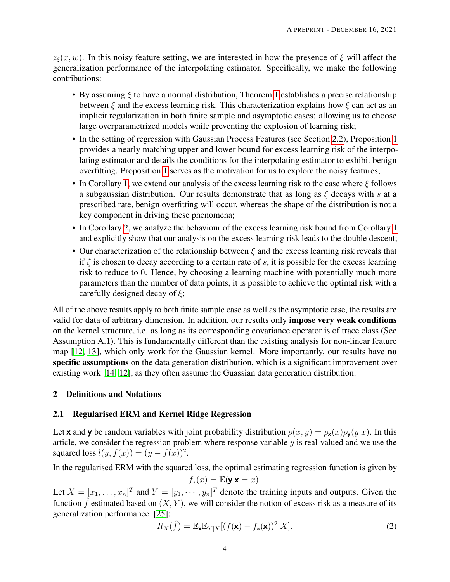$z_{\xi}(x, w)$ . In this noisy feature setting, we are interested in how the presence of  $\xi$  will affect the generalization performance of the interpolating estimator. Specifically, we make the following contributions:

- By assuming  $\xi$  to have a normal distribution, Theorem [1](#page-8-0) establishes a precise relationship between  $\xi$  and the excess learning risk. This characterization explains how  $\xi$  can act as an implicit regularization in both finite sample and asymptotic cases: allowing us to choose large overparametrized models while preventing the explosion of learning risk;
- In the setting of regression with Gaussian Process Features (see Section [2.2\)](#page-4-0), Proposition [1](#page-9-0) provides a nearly matching upper and lower bound for excess learning risk of the interpolating estimator and details the conditions for the interpolating estimator to exhibit benign overfitting. Proposition [1](#page-9-0) serves as the motivation for us to explore the noisy features;
- In Corollary [1,](#page-11-0) we extend our analysis of the excess learning risk to the case where  $\xi$  follows a subgaussian distribution. Our results demonstrate that as long as  $\xi$  decays with s at a prescribed rate, benign overfitting will occur, whereas the shape of the distribution is not a key component in driving these phenomena;
- In Corollary [2,](#page-12-0) we analyze the behaviour of the excess learning risk bound from Corollary [1](#page-11-0) and explicitly show that our analysis on the excess learning risk leads to the double descent;
- Our characterization of the relationship between  $\xi$  and the excess learning risk reveals that if  $\xi$  is chosen to decay according to a certain rate of s, it is possible for the excess learning risk to reduce to 0. Hence, by choosing a learning machine with potentially much more parameters than the number of data points, it is possible to achieve the optimal risk with a carefully designed decay of  $\xi$ ;

All of the above results apply to both finite sample case as well as the asymptotic case, the results are valid for data of arbitrary dimension. In addition, our results only impose very weak conditions on the kernel structure, i.e. as long as its corresponding covariance operator is of trace class (See Assumption A.1). This is fundamentally different than the existing analysis for non-linear feature map [\[12,](#page-27-5) [13\]](#page-27-6), which only work for the Gaussian kernel. More importantly, our results have no specific assumptions on the data generation distribution, which is a significant improvement over existing work [\[14,](#page-27-7) [12\]](#page-27-5), as they often assume the Guassian data generation distribution.

# 2 Definitions and Notations

# 2.1 Regularised ERM and Kernel Ridge Regression

Let **x** and **y** be random variables with joint probability distribution  $\rho(x, y) = \rho_{\mathbf{x}}(x)\rho_{\mathbf{y}}(y|x)$ . In this article, we consider the regression problem where response variable  $y$  is real-valued and we use the squared loss  $l(y, f(x)) = (y - f(x))^2$ .

In the regularised ERM with the squared loss, the optimal estimating regression function is given by

$$
f_*(x) = \mathbb{E}(\mathbf{y}|\mathbf{x} = x).
$$

Let  $X = [x_1, \dots, x_n]^T$  and  $Y = [y_1, \dots, y_n]^T$  denote the training inputs and outputs. Given the function  $\hat{f}$  estimated based on  $(X, Y)$ , we will consider the notion of excess risk as a measure of its generalization performance [\[25\]](#page-28-2):

$$
R_X(\hat{f}) = \mathbb{E}_{\mathbf{x}} \mathbb{E}_{Y|X} [(\hat{f}(\mathbf{x}) - f_*(\mathbf{x}))^2 | X].
$$
\n(2)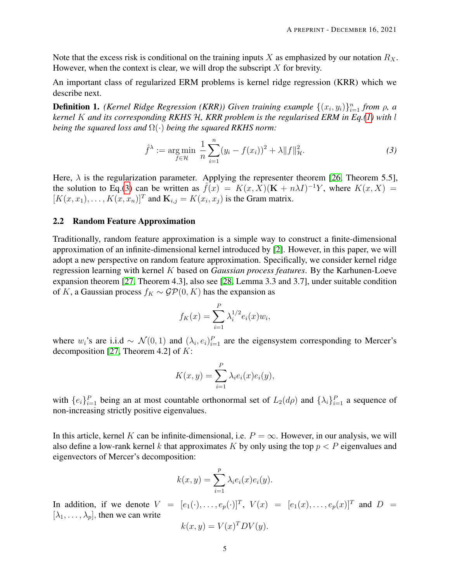Note that the excess risk is conditional on the training inputs X as emphasized by our notation  $R_X$ . However, when the context is clear, we will drop the subscript  $X$  for brevity.

An important class of regularized ERM problems is kernel ridge regression (KRR) which we describe next.

**Definition 1.** *(Kernel Ridge Regression (KRR))* Given training example  $\{(x_i, y_i)\}_{i=1}^n$  from  $\rho$ , a *kernel* K *and its corresponding RKHS* H*, KRR problem is the regularised ERM in Eq.[\(1\)](#page-1-0) with* l *being the squared loss and* Ω(·) *being the squared RKHS norm:*

<span id="page-4-1"></span>
$$
\hat{f}^{\lambda} := \underset{f \in \mathcal{H}}{\text{arg min}} \ \frac{1}{n} \sum_{i=1}^{n} (y_i - f(x_i))^2 + \lambda \|f\|_{\mathcal{H}}^2. \tag{3}
$$

Here,  $\lambda$  is the regularization parameter. Applying the representer theorem [\[26,](#page-28-3) Theorem 5.5], the solution to Eq.[\(3\)](#page-4-1) can be written as  $\hat{f}(x) = K(x, X)(\mathbf{K} + n\lambda I)^{-1}Y$ , where  $K(x, X) =$  $[K(x, x_1), \ldots, K(x, x_n)]^T$  and  $\mathbf{K}_{i,j} = K(x_i, x_j)$  is the Gram matrix.

#### <span id="page-4-0"></span>2.2 Random Feature Approximation

Traditionally, random feature approximation is a simple way to construct a finite-dimensional approximation of an infinite-dimensional kernel introduced by [\[2\]](#page-26-1). However, in this paper, we will adopt a new perspective on random feature approximation. Specifically, we consider kernel ridge regression learning with kernel K based on *Gaussian process features*. By the Karhunen-Loeve expansion theorem [\[27,](#page-28-4) Theorem 4.3], also see [\[28,](#page-28-5) Lemma 3.3 and 3.7], under suitable condition of K, a Gaussian process  $f_K \sim \mathcal{GP}(0, K)$  has the expansion as

$$
f_K(x) = \sum_{i=1}^{P} \lambda_i^{1/2} e_i(x) w_i,
$$

where  $w_i$ 's are i.i.d ~  $\mathcal{N}(0,1)$  and  $(\lambda_i, e_i)_{i=1}^P$  are the eigensystem corresponding to Mercer's decomposition [\[27,](#page-28-4) Theorem 4.2] of  $K$ :

$$
K(x,y) = \sum_{i=1}^{P} \lambda_i e_i(x) e_i(y),
$$

with  $\{e_i\}_{i=1}^P$  being an at most countable orthonormal set of  $L_2(d\rho)$  and  $\{\lambda_i\}_{i=1}^P$  a sequence of non-increasing strictly positive eigenvalues.

In this article, kernel K can be infinite-dimensional, i.e.  $P = \infty$ . However, in our analysis, we will also define a low-rank kernel k that approximates K by only using the top  $p < P$  eigenvalues and eigenvectors of Mercer's decomposition:

$$
k(x, y) = \sum_{i=1}^{p} \lambda_i e_i(x) e_i(y).
$$

In addition, if we denote  $V = [e_1(\cdot), \dots, e_p(\cdot)]^T$ ,  $V(x) = [e_1(x), \dots, e_p(x)]^T$  and  $D =$  $[\lambda_1, \ldots, \lambda_p]$ , then we can write

$$
k(x, y) = V(x)^T D V(y).
$$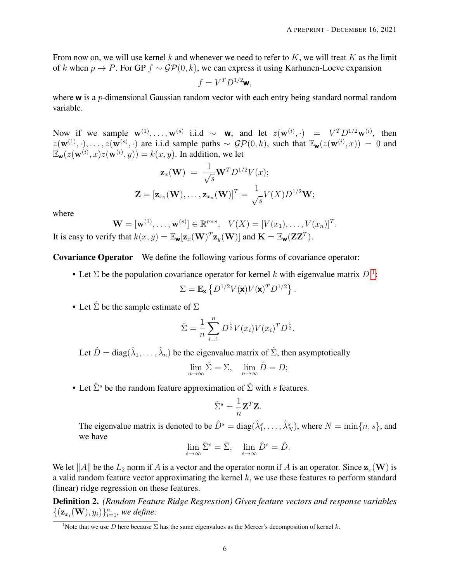From now on, we will use kernel k and whenever we need to refer to K, we will treat K as the limit of k when  $p \to P$ . For GP  $f \sim GP(0, k)$ , we can express it using Karhunen-Loeve expansion

$$
f = V^T D^{1/2} \mathbf{w},
$$

where  $\bf{w}$  is a p-dimensional Gaussian random vector with each entry being standard normal random variable.

Now if we sample  $\mathbf{w}^{(1)}, \dots, \mathbf{w}^{(s)}$  i.i.d ~ **w**, and let  $z(\mathbf{w}^{(i)}, \cdot) = V^T D^{1/2} \mathbf{w}^{(i)}$ , then  $z(\mathbf{w}^{(1)},\cdot),\ldots,z(\mathbf{w}^{(s)},\cdot)$  are i.i.d sample paths  $\sim$   $\mathcal{GP}(0,k)$ , such that  $\mathbb{E}_{\mathbf{w}}(z(\mathbf{w}^{(i)},x))=0$  and  $\mathbb{E}_{\mathbf{w}}(z(\mathbf{w}^{(i)}, x)z(\mathbf{w}^{(i)}, y)) = k(x, y)$ . In addition, we let

$$
\mathbf{z}_x(\mathbf{W}) = \frac{1}{\sqrt{s}} \mathbf{W}^T D^{1/2} V(x);
$$
  

$$
\mathbf{Z} = [\mathbf{z}_{x_1}(\mathbf{W}), \dots, \mathbf{z}_{x_n}(\mathbf{W})]^T = \frac{1}{\sqrt{s}} V(X) D^{1/2} \mathbf{W};
$$

where

$$
\mathbf{W} = [\mathbf{w}^{(1)}, \dots, \mathbf{w}^{(s)}] \in \mathbb{R}^{p \times s}, \quad V(X) = [V(x_1), \dots, V(x_n)]^T.
$$
  
It is easy to verify that  $k(x, y) = \mathbb{E}_{\mathbf{w}}[\mathbf{z}_x(\mathbf{W})^T \mathbf{z}_y(\mathbf{W})]$  and  $\mathbf{K} = \mathbb{E}_{\mathbf{w}}(\mathbf{Z}\mathbf{Z}^T).$ 

Covariance Operator We define the following various forms of covariance operator:

• Let  $\Sigma$  be the population covariance operator for kernel k with eigenvalue matrix  $D<sup>1</sup>$  $D<sup>1</sup>$  $D<sup>1</sup>$ :

$$
\Sigma = \mathbb{E}_{\mathbf{x}} \left\{ D^{1/2} V(\mathbf{x}) V(\mathbf{x})^T D^{1/2} \right\}.
$$

• Let  $\hat{\Sigma}$  be the sample estimate of  $\Sigma$ 

$$
\hat{\Sigma} = \frac{1}{n} \sum_{i=1}^{n} D^{\frac{1}{2}} V(x_i) V(x_i)^T D^{\frac{1}{2}}.
$$

Let  $\hat{D} = \text{diag}(\hat{\lambda}_1, \dots, \hat{\lambda}_n)$  be the eigenvalue matrix of  $\hat{\Sigma}$ , then asymptotically

$$
\lim_{n \to \infty} \hat{\Sigma} = \Sigma, \quad \lim_{n \to \infty} \hat{D} = D;
$$

• Let  $\hat{\Sigma}^s$  be the random feature approximation of  $\hat{\Sigma}$  with s features.

$$
\hat{\Sigma}^s = \frac{1}{n} \mathbf{Z}^T \mathbf{Z}.
$$

The eigenvalue matrix is denoted to be  $\hat{D}^s = diag(\hat{\lambda}_1^s, \dots, \hat{\lambda}_N^s)$ , where  $N = \min\{n, s\}$ , and we have

$$
\lim_{s \to \infty} \hat{\Sigma}^s = \hat{\Sigma}, \quad \lim_{s \to \infty} \hat{D}^s = \hat{D}.
$$

We let ||A|| be the  $L_2$  norm if A is a vector and the operator norm if A is an operator. Since  $z_x(\mathbf{W})$  is a valid random feature vector approximating the kernel  $k$ , we use these features to perform standard (linear) ridge regression on these features.

Definition 2. *(Random Feature Ridge Regression) Given feature vectors and response variables*  $\{(\mathbf{z}_{x_i}(\mathbf{W}), y_i)\}_{i=1}^n$ , we define:

<span id="page-5-0"></span><sup>&</sup>lt;sup>1</sup>Note that we use D here because  $\Sigma$  has the same eigenvalues as the Mercer's decomposition of kernel k.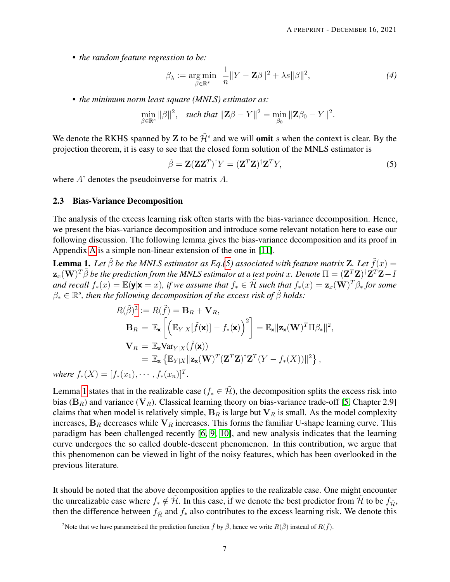• *the random feature regression to be:*

<span id="page-6-3"></span>
$$
\beta_{\lambda} := \underset{\beta \in \mathbb{R}^s}{\arg \min} \ \frac{1}{n} \|Y - \mathbf{Z}\beta\|^2 + \lambda s \|\beta\|^2, \tag{4}
$$

• *the minimum norm least square (MNLS) estimator as:*

$$
\min_{\beta \in \mathbb{R}^s} ||\beta||^2, \quad such \, that \, ||\mathbf{Z}\beta - Y||^2 = \min_{\beta_0} ||\mathbf{Z}\beta_0 - Y||^2.
$$

We denote the RKHS spanned by Z to be  $\tilde{\mathcal{H}}^s$  and we will **omit** s when the context is clear. By the projection theorem, it is easy to see that the closed form solution of the MNLS estimator is

<span id="page-6-0"></span>
$$
\tilde{\beta} = \mathbf{Z} (\mathbf{Z} \mathbf{Z}^T)^{\dagger} Y = (\mathbf{Z}^T \mathbf{Z})^{\dagger} \mathbf{Z}^T Y,\tag{5}
$$

where  $A^{\dagger}$  denotes the pseudoinverse for matrix A.

#### 2.3 Bias-Variance Decomposition

The analysis of the excess learning risk often starts with the bias-variance decomposition. Hence, we present the bias-variance decomposition and introduce some relevant notation here to ease our following discussion. The following lemma gives the bias-variance decomposition and its proof in Appendix [A](#page-29-0) is a simple non-linear extension of the one in [\[11\]](#page-27-4).

<span id="page-6-2"></span>**Lemma 1.** Let  $\tilde{\beta}$  be the MNLS estimator as Eq.[\(5\)](#page-6-0) associated with feature matrix **Z**. Let  $\tilde{f}(x) =$  $\mathbf{z}_x(\mathbf{W})^T\tilde{\beta}$  be the prediction from the MNLS estimator at a test point  $x.$  Denote  $\Pi=(\mathbf{Z}^T\mathbf{Z})^\dagger\mathbf{Z}^T\mathbf{Z}-I$ and recall  $f_*(x) = \mathbb{E}(\mathbf{y}|\mathbf{x} = x)$ , if we assume that  $f_* \in \tilde{\mathcal{H}}$  such that  $f_*(x) = \mathbf{z}_x(\mathbf{W})^T\beta_*$  for some  $\beta_* \in \mathbb{R}^s$ , then the following decomposition of the excess risk of  $\tilde{\beta}$  holds:

$$
R(\tilde{\beta})^2 := R(\tilde{f}) = \mathbf{B}_R + \mathbf{V}_R,
$$
  
\n
$$
\mathbf{B}_R = \mathbb{E}_{\mathbf{x}} \left[ \left( \mathbb{E}_{Y|X} [\tilde{f}(\mathbf{x})] - f_*(\mathbf{x}) \right)^2 \right] = \mathbb{E}_{\mathbf{x}} ||\mathbf{z}_{\mathbf{x}}(\mathbf{W})^T \Pi \beta_*||^2,
$$
  
\n
$$
\mathbf{V}_R = \mathbb{E}_{\mathbf{x}} \text{Var}_{Y|X} (\tilde{f}(\mathbf{x}))
$$
  
\n
$$
= \mathbb{E}_{\mathbf{x}} \left\{ \mathbb{E}_{Y|X} || \mathbf{z}_{\mathbf{x}}(\mathbf{W})^T (\mathbf{Z}^T \mathbf{Z})^\dagger \mathbf{Z}^T (Y - f_*(X)) ||^2 \right\},
$$

*where*  $f_*(X) = [f_*(x_1), \cdots, f_*(x_n)]^T$ .

Lemma [1](#page-6-2) states that in the realizable case ( $f_* \in \tilde{\mathcal{H}}$ ), the decomposition splits the excess risk into bias ( $B_R$ ) and variance ( $V_R$ ). Classical learning theory on bias-variance trade-off [\[5,](#page-26-4) Chapter 2.9] claims that when model is relatively simple,  $B_R$  is large but  $V_R$  is small. As the model complexity increases,  $B_R$  decreases while  $V_R$  increases. This forms the familiar U-shape learning curve. This paradigm has been challenged recently [\[6,](#page-26-5) [9,](#page-27-2) [10\]](#page-27-3), and new analysis indicates that the learning curve undergoes the so called double-descent phenomenon. In this contribution, we argue that this phenomenon can be viewed in light of the noisy features, which has been overlooked in the previous literature.

It should be noted that the above decomposition applies to the realizable case. One might encounter the unrealizable case where  $f_* \notin \tilde{H}$ . In this case, if we denote the best predictor from  $\tilde{H}$  to be  $f_{\tilde{H}}$ , then the difference between  $f_{\tilde{\mathcal{H}}}$  and  $f_*$  also contributes to the excess learning risk. We denote this

<span id="page-6-1"></span><sup>&</sup>lt;sup>2</sup>Note that we have parametrised the prediction function  $\tilde{f}$  by  $\tilde{\beta}$ , hence we write  $R(\tilde{\beta})$  instead of  $R(\tilde{f})$ .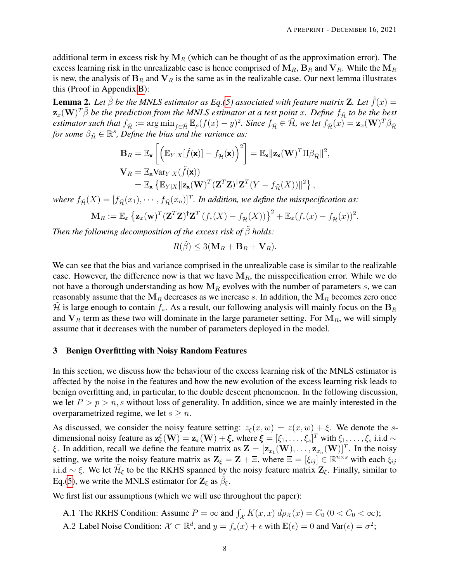additional term in excess risk by  $M_R$  (which can be thought of as the approximation error). The excess learning risk in the unrealizable case is hence comprised of  $M_R$ ,  $B_R$  and  $V_R$ . While the  $M_R$ is new, the analysis of  $B_R$  and  $V_R$  is the same as in the realizable case. Our next lemma illustrates this (Proof in Appendix [B\)](#page-29-1):

**Lemma 2.** Let  $\tilde{\beta}$  be the MNLS estimator as Eq.[\(5\)](#page-6-0) associated with feature matrix **Z**. Let  $\tilde{f}(x) =$  $\mathbf{z}_x(\mathbf{W})^T\tilde{\beta}$  be the prediction from the MNLS estimator at a test point  $x.$  Define  $f_{\tilde{\mathcal{H}}}$  to be the best  $estimator$  such that  $f_{\tilde{\mathcal{H}}} := \arg \min_{f \in \tilde{\mathcal{H}}} \mathbb{E}_{\rho}(f(x) - y)^2$ . Since  $f_{\tilde{\mathcal{H}}} \in \tilde{\mathcal{H}}$ , we let  $f_{\tilde{\mathcal{H}}}(x) = \mathbf{z}_x(\mathbf{W})^T \beta_{\tilde{\mathcal{H}}}$ for some  $\beta_{\tilde{H}} \in \mathbb{R}^s$ , Define the bias and the variance as:

$$
\mathbf{B}_{R} = \mathbb{E}_{\mathbf{x}} \left[ \left( \mathbb{E}_{Y|X} [\tilde{f}(\mathbf{x})] - f_{\tilde{\mathcal{H}}}(\mathbf{x}) \right)^{2} \right] = \mathbb{E}_{\mathbf{x}} ||\mathbf{z}_{\mathbf{x}}(\mathbf{W})^{T} \Pi \beta_{\tilde{\mathcal{H}}}||^{2},
$$
\n
$$
\mathbf{V}_{R} = \mathbb{E}_{\mathbf{x}} \text{Var}_{Y|X} (\tilde{f}(\mathbf{x}))
$$
\n
$$
= \mathbb{E}_{\mathbf{x}} \left\{ \mathbb{E}_{Y|X} || \mathbf{z}_{\mathbf{x}}(\mathbf{W})^{T} (\mathbf{Z}^{T} \mathbf{Z})^{\dagger} \mathbf{Z}^{T} (Y - f_{\tilde{\mathcal{H}}} (X)) ||^{2} \right\},
$$

where  $f_{\tilde{\mathcal{H}}}(X) = [f_{\tilde{\mathcal{H}}}(x_1), \cdots, f_{\tilde{\mathcal{H}}}(x_n)]^T$ . In addition, we define the misspecification as:

$$
\mathbf{M}_R := \mathbb{E}_x \left\{ \mathbf{z}_x(\mathbf{w})^T (\mathbf{Z}^T \mathbf{Z})^{\dagger} \mathbf{Z}^T (f_*(X) - f_{\tilde{\mathcal{H}}}(X)) \right\}^2 + \mathbb{E}_x (f_*(x) - f_{\tilde{\mathcal{H}}}(x))^2.
$$

*Then the following decomposition of the excess risk of*  $\tilde{\beta}$  *holds:* 

$$
R(\tilde{\beta}) \le 3(\mathbf{M}_R + \mathbf{B}_R + \mathbf{V}_R).
$$

We can see that the bias and variance comprised in the unrealizable case is similar to the realizable case. However, the difference now is that we have  $M_R$ , the misspecification error. While we do not have a thorough understanding as how  $M_R$  evolves with the number of parameters s, we can reasonably assume that the  $M_R$  decreases as we increase s. In addition, the  $M_R$  becomes zero once H is large enough to contain  $f_*$ . As a result, our following analysis will mainly focus on the  $B_R$ and  $V_R$  term as these two will dominate in the large parameter setting. For  $M_R$ , we will simply assume that it decreases with the number of parameters deployed in the model.

#### 3 Benign Overfitting with Noisy Random Features

In this section, we discuss how the behaviour of the excess learning risk of the MNLS estimator is affected by the noise in the features and how the new evolution of the excess learning risk leads to benign overfitting and, in particular, to the double descent phenomenon. In the following discussion, we let  $P > p > n$ , s without loss of generality. In addition, since we are mainly interested in the overparametrized regime, we let  $s \geq n$ .

As discussed, we consider the noisy feature setting:  $z_{\xi}(x, w) = z(x, w) + \xi$ . We denote the sdimensional noisy feature as  $\mathbf{z}_x^{\xi}(\mathbf{W}) = \mathbf{z}_x(\mathbf{W}) + \boldsymbol{\xi}$ , where  $\boldsymbol{\xi} = [\xi_1, \dots, \xi_s]^T$  with  $\xi_1, \dots, \xi_s$  i.i.d  $\sim$ ξ. In addition, recall we define the feature matrix as  $\mathbf{Z} = [\mathbf{z}_{x_1}(\mathbf{W}), \dots, \mathbf{z}_{x_n}(\mathbf{W})]^T$ . In the noisy setting, we write the noisy feature matrix as  $\mathbf{Z}_{\xi} = \mathbf{Z} + \Xi$ , where  $\Xi = [\xi_{ij}] \in \mathbb{R}^{n \times s}$  with each  $\xi_{ij}$ i.i.d ~  $\xi$ . We let  $\tilde{\mathcal{H}}_{\xi}$  to be the RKHS spanned by the noisy feature matrix  $\mathbf{Z}_{\xi}$ . Finally, similar to Eq.[\(5\)](#page-6-0), we write the MNLS estimator for  $\mathbf{Z}_{\xi}$  as  $\tilde{\beta}_{\xi}$ .

We first list our assumptions (which we will use throughout the paper):

- A.1 The RKHS Condition: Assume  $P = \infty$  and  $\int_{\mathcal{X}} K(x, x) d\rho_{\mathcal{X}}(x) = C_0 \ (0 < C_0 < \infty)$ ;
- A.2 Label Noise Condition:  $\mathcal{X} \subset \mathbb{R}^d$ , and  $y = f_*(x) + \epsilon$  with  $\mathbb{E}(\epsilon) = 0$  and  $\text{Var}(\epsilon) = \sigma^2$ ;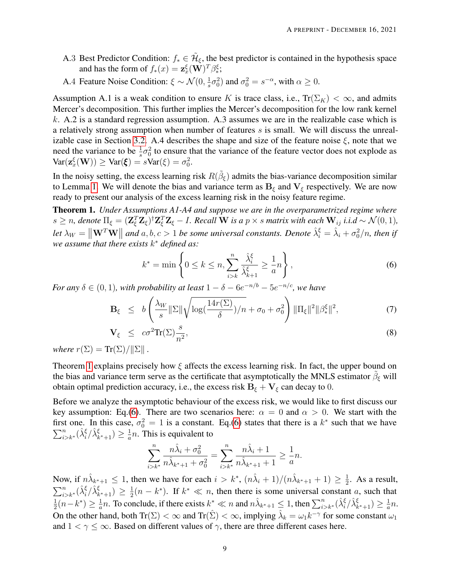- A.3 Best Predictor Condition:  $f_* \in \tilde{\mathcal{H}}_{\xi}$ , the best predictor is contained in the hypothesis space and has the form of  $f_*(x) = \mathbf{z}_x^{\xi}(\mathbf{W})^T \beta_*^{\xi}$ ;
- A.4 Feature Noise Condition:  $\xi \sim \mathcal{N}(0, \frac{1}{s})$  $(\frac{1}{s}\sigma_0^2)$  and  $\sigma_0^2 = s^{-\alpha}$ , with  $\alpha \geq 0$ .

Assumption A.1 is a weak condition to ensure K is trace class, i.e.,  $Tr(\Sigma_K) < \infty$ , and admits Mercer's decomposition. This further implies the Mercer's decomposition for the low rank kernel k. A.2 is a standard regression assumption. A.3 assumes we are in the realizable case which is a relatively strong assumption when number of features  $s$  is small. We will discuss the unreal-izable case in Section [3.2.](#page-12-1) A.4 describes the shape and size of the feature noise  $\xi$ , note that we need the variance to be  $\frac{1}{s}\sigma_0^2$  to ensure that the variance of the feature vector does not explode as  $\text{Var}(\mathbf{z}_{x}^{\xi}(\mathbf{W})) \geq \text{Var}(\xi) = s\text{Var}(\xi) = \sigma_0^2.$ 

In the noisy setting, the excess learning risk  $R(\tilde{\beta}_{\xi})$  admits the bias-variance decomposition similar to Lemma [1.](#page-6-2) We will denote the bias and variance term as  $B_{\xi}$  and  $V_{\xi}$  respectively. We are now ready to present our analysis of the excess learning risk in the noisy feature regime.

<span id="page-8-0"></span>Theorem 1. *Under Assumptions A1-A4 and suppose we are in the overparametrized regime where*  $s \geq n$ , denote  $\Pi_{\xi} = (\mathbf{Z}_{\xi}^T \mathbf{Z}_{\xi})^{\dagger} \mathbf{Z}_{\xi}^T \mathbf{Z}_{\xi} - I$ . Recall W is a  $p \times s$  matrix with each  $\mathbf{W}_{ij}$  i.i.d  $\sim \mathcal{N}(0, 1)$ , Let  $\lambda_W = \|\mathbf{W}^T \mathbf{W}\|$  and a, b,  $c > 1$  be some universal constants. Denote  $\hat{\lambda}_i^{\xi} = \hat{\lambda}_i + \sigma_0^2/n$ , then if *we assume that there exists* k <sup>∗</sup> *defined as:*

<span id="page-8-1"></span>
$$
k^* = \min\left\{0 \le k \le n, \sum_{i>k}^n \frac{\hat{\lambda}_i^{\xi}}{\hat{\lambda}_{k+1}^{\xi}} \ge \frac{1}{a}n\right\},\tag{6}
$$

*For any*  $\delta \in (0,1)$ *, with probability at least*  $1 - \delta - 6e^{-n/b} - 5e^{-n/c}$ *, we have* 

$$
\mathbf{B}_{\xi} \ \leq \ b \left( \frac{\lambda_W}{s} \|\Sigma\| \sqrt{\log(\frac{14r(\Sigma)}{\delta})/n} + \sigma_0 + \sigma_0^2 \right) \|\Pi_{\xi}\|^2 \|\beta_{\ast}^{\xi}\|^2, \tag{7}
$$

$$
\mathbf{V}_{\xi} \le c\sigma^2 \text{Tr}(\Sigma) \frac{s}{n^2}, \tag{8}
$$

*where*  $r(\Sigma) = \text{Tr}(\Sigma)/\|\Sigma\|$ .

Theorem [1](#page-8-0) explains precisely how  $\xi$  affects the excess learning risk. In fact, the upper bound on the bias and variance term serve as the certificate that asymptotically the MNLS estimator  $\tilde{\beta}_{\xi}$  will obtain optimal prediction accuracy, i.e., the excess risk  $B_{\xi} + V_{\xi}$  can decay to 0.

Before we analyze the asymptotic behaviour of the excess risk, we would like to first discuss our key assumption: Eq.[\(6\)](#page-8-1). There are two scenarios here:  $\alpha = 0$  and  $\alpha > 0$ . We start with the first one. In this case,  $\sigma_0^2 = 1$  is a constant. Eq.[\(6\)](#page-8-1) states that there is a  $k^*$  such that we have  $\sum_{i>k^*}^n(\hat{\lambda}_i^{\xi}/\hat{\lambda}_{k^*+1}^{\xi}) \geq \frac{1}{a}$  $\frac{1}{a}n$ . This is equivalent to

$$
\sum_{i>k^*}^n \frac{n\hat{\lambda}_i + \sigma_0^2}{n\hat{\lambda}_{k^*+1} + \sigma_0^2} = \sum_{i>k^*}^n \frac{n\hat{\lambda}_i + 1}{n\hat{\lambda}_{k^*+1} + 1} \ge \frac{1}{a}n.
$$

Now, if  $n\hat{\lambda}_{k^*+1} \leq 1$ , then we have for each  $i > k^*$ ,  $(n\hat{\lambda}_i + 1)/(n\hat{\lambda}_{k^*+1} + 1) \geq \frac{1}{2}$  $\frac{1}{2}$ . As a result,  $\sum_{i>k^*}^n(\hat{\lambda}_i^{\xi}/\hat{\lambda}_{k^*+1}^{\xi}) \geq \frac{1}{2}$  $\frac{1}{2}(n-k^*)$ . If  $k^* \ll n$ , then there is some universal constant a, such that 1  $\frac{1}{2}(n-k^*) \geq \frac{1}{a}$  $\frac{1}{a}n$ . To conclude, if there exists  $k^* \ll n$  and  $n\hat{\lambda}_{k^*+1} \leq 1$ , then  $\sum_{i>k^*}^n (\hat{\lambda}_i^{\xi}/\hat{\lambda}_{k^*+1}^{\xi}) \geq \frac{1}{a}$  $\frac{1}{a}n$ . On the other hand, both  $Tr(\Sigma) < \infty$  and  $Tr(\hat{\Sigma}) < \infty$ , implying  $\hat{\lambda}_k = \omega_1 k^{-\gamma}$  for some constant  $\omega_1$ and  $1 < \gamma \leq \infty$ . Based on different values of  $\gamma$ , there are three different cases here.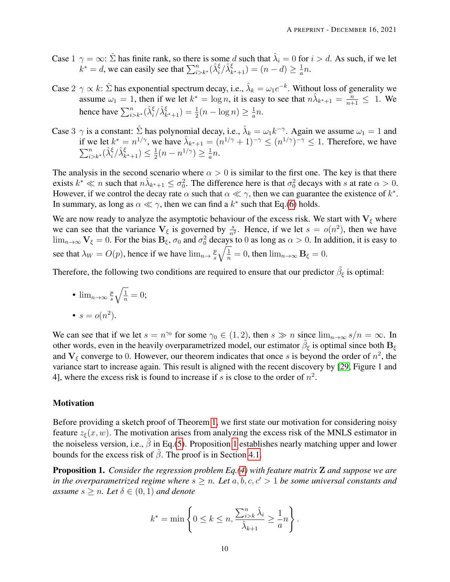- Case  $1 \gamma = \infty$ :  $\hat{\Sigma}$  has finite rank, so there is some d such that  $\hat{\lambda}_i = 0$  for  $i > d$ . As such, if we let  $k^* = d$ , we can easily see that  $\sum_{i>k^*}^n (\hat{\lambda}_i^{\xi} / \hat{\lambda}_{k^*+1}^{\xi}) = (n - d) \ge \frac{1}{a}$  $\frac{1}{a}n$ .
- Case  $2 \gamma \propto k$ :  $\hat{\Sigma}$  has exponential spectrum decay, i.e.,  $\hat{\lambda}_k = \omega_1 e^{-k}$ . Without loss of generality we assume  $\omega_1 = 1$ , then if we let  $k^* = \log n$ , it is easy to see that  $n\lambda_{k^*+1} = \frac{n}{n+1} \leq 1$ . We hence have  $\sum_{i>k^*}^n (\hat{\lambda}_i^{\xi} / \hat{\lambda}_{k^*+1}^{\xi}) = \frac{1}{2}(n - \log n) \ge \frac{1}{a}$  $\frac{1}{a}n$ .
- Case 3  $\gamma$  is a constant:  $\hat{\Sigma}$  has polynomial decay, i.e.,  $\hat{\lambda}_k = \omega_1 k^{-\gamma}$ . Again we assume  $\omega_1 = 1$  and if we let  $k^* = n^{1/\gamma}$ , we have  $\hat{\lambda}_{k^*+1} = (n^{1/\gamma} + 1)^{-\gamma} \le (n^{1/\gamma})^{-\gamma} \le 1$ . Therefore, we have  $\sum_{i>k^*}^n(\hat{\lambda}_i^{\xi}/\hat{\lambda}_{k^*+1}^{\xi}) \leq \frac{1}{2}$  $\frac{1}{2}(n - n^{1/\gamma}) \geq \frac{1}{a}$  $\frac{1}{a}n$ .

The analysis in the second scenario where  $\alpha > 0$  is similar to the first one. The key is that there exists  $k^* \ll n$  such that  $n\hat{\lambda}_{k^*+1} \leq \sigma_0^2$ . The difference here is that  $\sigma_0^2$  decays with s at rate  $\alpha > 0$ . However, if we control the decay rate  $\alpha$  such that  $\alpha \ll \gamma$ , then we can guarantee the existence of  $k^*$ . In summary, as long as  $\alpha \ll \gamma$ , then we can find a  $k^*$  such that Eq.[\(6\)](#page-8-1) holds.

We are now ready to analyze the asymptotic behaviour of the excess risk. We start with  $V_{\xi}$  where we can see that the variance  $V_{\xi}$  is governed by  $\frac{s}{n^2}$ . Hence, if we let  $s = o(n^2)$ , then we have  $\lim_{n\to\infty}$   $V_{\xi}=0$ . For the bias  $B_{\xi}$ ,  $\sigma_0$  and  $\sigma_0^2$  decays to 0 as long as  $\alpha>0$ . In addition, it is easy to see that  $\lambda_W = O(p)$ , hence if we have  $\lim_{n \to \infty} \frac{p}{s}$ s  $\sqrt{\frac{1}{n}} = 0$ , then  $\lim_{n \to \infty} \mathbf{B}_{\xi} = 0$ .

Therefore, the following two conditions are required to ensure that our predictor  $\tilde{\beta}_{\xi}$  is optimal:

\n- $$
\lim_{n\to\infty} \frac{p}{s} \sqrt{\frac{1}{n}} = 0;
$$
\n- $s = o(n^2).$
\n

We can see that if we let  $s = n^{\gamma_0}$  for some  $\gamma_0 \in (1, 2)$ , then  $s \gg n$  since  $\lim_{n \to \infty} s/n = \infty$ . In other words, even in the heavily overparametrized model, our estimator  $\tilde{\beta}_{\xi}$  is optimal since both  $B_{\xi}$ and  $V_{\xi}$  converge to 0. However, our theorem indicates that once s is beyond the order of  $n^2$ , the variance start to increase again. This result is aligned with the recent discovery by [\[29,](#page-28-6) Figure 1 and 4], where the excess risk is found to increase if s is close to the order of  $n^2$ .

#### **Motivation**

Before providing a sketch proof of Theorem [1,](#page-8-0) we first state our motivation for considering noisy feature  $z_{\xi}(x, w)$ . The motivation arises from analyzing the excess risk of the MNLS estimator in the noiseless version, i.e.,  $\tilde{\beta}$  in Eq.[\(5\)](#page-6-0). Proposition [1](#page-9-0) establishes nearly matching upper and lower bounds for the excess risk of  $\tilde{\beta}$ . The proof is in Section [4.1.](#page-13-0)

<span id="page-9-0"></span>Proposition 1. *Consider the regression problem Eq.[\(4\)](#page-6-3) with feature matrix* Z *and suppose we are in the overparametrized regime where*  $s \geq n$ *. Let*  $a, b, c, c' > 1$  *be some universal constants and assume*  $s \geq n$ *. Let*  $\delta \in (0,1)$  *and denote* 

$$
k^* = \min\left\{0 \le k \le n, \frac{\sum_{i>k}^n \hat{\lambda}_i}{\hat{\lambda}_{k+1}} \ge \frac{1}{a}n\right\}.
$$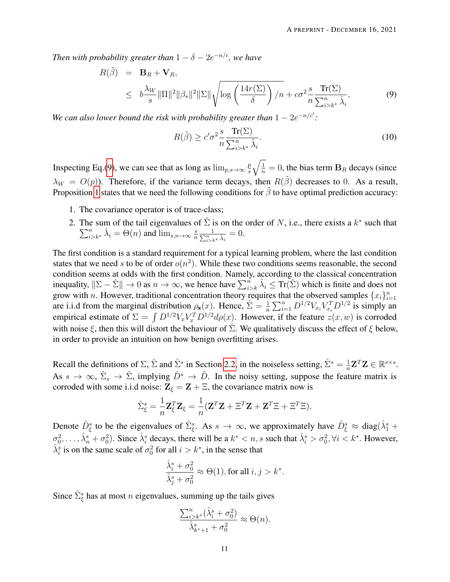*Then with probability greater than*  $1 - \delta - 2e^{-n/c}$ *, we have* 

<span id="page-10-0"></span>
$$
R(\tilde{\beta}) = \mathbf{B}_R + \mathbf{V}_R,
$$
  
\n
$$
\leq b \frac{\lambda_W}{s} ||\Pi||^2 ||\beta_*||^2 ||\Sigma|| \sqrt{\log \left(\frac{14r(\Sigma)}{\delta}\right) / n} + c\sigma^2 \frac{s}{n} \frac{\text{Tr}(\Sigma)}{\sum_{i>k^*}^n \hat{\lambda}_i},
$$
\n(9)

*We can also lower bound the risk with probability greater than*  $1 - 2e^{-n/c'}$ :

$$
R(\tilde{\beta}) \ge c' \sigma^2 \frac{s}{n} \frac{\operatorname{Tr}(\Sigma)}{\sum_{i>k^*}^n \hat{\lambda}_i}.
$$
 (10)

Inspecting Eq.[\(9\)](#page-10-0), we can see that as long as  $\lim_{p,s\to\infty} \frac{p}{s}$ s  $\sqrt{\frac{1}{n}} = 0$ , the bias term  $B_R$  decays (since  $\lambda_W = O(p)$ ). Therefore, if the variance term decays, then  $R(\tilde{\beta})$  decreases to 0. As a result, Proposition [1](#page-9-0) states that we need the following conditions for  $\tilde{\beta}$  to have optimal prediction accuracy:

- 1. The covariance operator is of trace-class;
- 2. The sum of the tail eigenvalues of  $\hat{\Sigma}$  is on the order of N, i.e., there exists a  $k^*$  $\sum$ is extended that that the tail eigenvalues of  $\Sigma$  is on the order of N, i.e., there exists a  $k^*$  such that  $\hat{n}$ <br> $\hat{\lambda}_i = \Theta(n)$  and  $\lim_{s,n \to \infty} \frac{s}{n} \frac{1}{\sum_{k=1}^n x_k \hat{\lambda}_i} = 0$ .  $n \sum$  $\frac{1}{\sum\limits_{i>k^*}\hat{\lambda}_i}=0.$

The first condition is a standard requirement for a typical learning problem, where the last condition states that we need s to be of order  $o(n^2)$ . While these two conditions seems reasonable, the second condition seems at odds with the first condition. Namely, according to the classical concentration inequality,  $\|\Sigma - \hat{\Sigma}\| \to 0$  as  $n \to \infty$ , we hence have  $\sum_{i>k}^{n} \hat{\lambda}_i \leq \text{Tr}(\hat{\Sigma})$  which is finite and does not grow with *n*. However, traditional concentration theory requires that the observed samples  $\{x_i\}_{i=1}^n$ are i.i.d from the marginal distribution  $\rho_{\mathbf{x}}(x)$ . Hence,  $\hat{\Sigma} = \frac{1}{n} \sum_{i=1}^{n} D^{1/2} V_{x_i} V_{x_i}^T D^{1/2}$  is simply an empirical estimate of  $\Sigma = \int D^{1/2} V_x V_x^T D^{1/2} d\rho(x)$ . However, if the feature  $z(x, w)$  is corroded with noise  $\xi$ , then this will distort the behaviour of  $\Sigma$ . We qualitatively discuss the effect of  $\xi$  below, in order to provide an intuition on how benign overfitting arises.

Recall the definitions of  $\Sigma$ ,  $\hat{\Sigma}$  and  $\hat{\Sigma}^s$  in Section [2.2,](#page-4-0) in the noiseless setting,  $\hat{\Sigma}^s = \frac{1}{n}$  $\frac{1}{n} \mathbf{Z}^T \mathbf{Z} \in \mathbb{R}^{s \times s}$ . As  $s \to \infty$ ,  $\hat{\Sigma}_s \to \hat{\Sigma}$ , implying  $\hat{D}^s \to \hat{D}$ . In the noisy setting, suppose the feature matrix is corroded with some i.i.d noise:  $\mathbf{Z}_{\xi} = \mathbf{Z} + \Xi$ , the covariance matrix now is

$$
\hat{\Sigma}_{\xi}^{s} = \frac{1}{n} \mathbf{Z}_{\xi}^{T} \mathbf{Z}_{\xi} = \frac{1}{n} (\mathbf{Z}^{T} \mathbf{Z} + \Xi^{T} \mathbf{Z} + \mathbf{Z}^{T} \Xi + \Xi^{T} \Xi).
$$

Denote  $\hat{D}_{\xi}^s$  to be the eigenvalues of  $\hat{\Sigma}_{\xi}^s$ . As  $s \to \infty$ , we approximately have  $\hat{D}_{\xi}^s \approx \text{diag}(\hat{\lambda}_1^s +$  $\sigma_0^2, \ldots, \hat{\lambda}_n^s + \sigma_0^2$ ). Since  $\hat{\lambda}_i^s$  decays, there will be a  $k^* < n$ , s such that  $\hat{\lambda}_i^s > \sigma_0^2$ ,  $\forall i < k^*$ . However,  $\hat{\lambda}_i^s$  is on the same scale of  $\sigma_0^2$  for all  $i > k^*$ , in the sense that

$$
\frac{\hat{\lambda}_i^s + \sigma_0^2}{\hat{\lambda}_j^s + \sigma_0^2} \approx \Theta(1), \text{for all } i,j > k^*.
$$

Since  $\hat{\Sigma}_{\xi}^{s}$  has at most *n* eigenvalues, summing up the tails gives

$$
\frac{\sum_{i>k^*}^n (\hat{\lambda}_i^s + \sigma_0^2)}{\hat{\lambda}_{k^*+1}^s + \sigma_0^2} \approx \Theta(n).
$$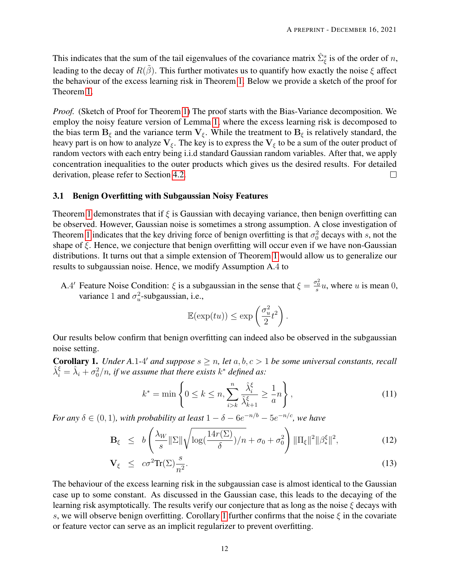This indicates that the sum of the tail eigenvalues of the covariance matrix  $\hat{\Sigma}_{\xi}^{s}$  is of the order of n, leading to the decay of  $R(\tilde{\beta})$ . This further motivates us to quantify how exactly the noise  $\xi$  affect the behaviour of the excess learning risk in Theorem [1.](#page-8-0) Below we provide a sketch of the proof for Theorem [1.](#page-8-0)

*Proof.* (Sketch of Proof for Theorem [1\)](#page-8-0) The proof starts with the Bias-Variance decomposition. We employ the noisy feature version of Lemma [1,](#page-6-2) where the excess learning risk is decomposed to the bias term  $B_{\xi}$  and the variance term  $V_{\xi}$ . While the treatment to  $B_{\xi}$  is relatively standard, the heavy part is on how to analyze  $V_{\xi}$ . The key is to express the  $V_{\xi}$  to be a sum of the outer product of random vectors with each entry being i.i.d standard Gaussian random variables. After that, we apply concentration inequalities to the outer products which gives us the desired results. For detailed derivation, please refer to Section [4.2.](#page-19-0)  $\Box$ 

#### 3.1 Benign Overfitting with Subgaussian Noisy Features

Theorem [1](#page-8-0) demonstrates that if  $\xi$  is Gaussian with decaying variance, then benign overfitting can be observed. However, Gaussian noise is sometimes a strong assumption. A close investigation of Theorem [1](#page-8-0) indicates that the key driving force of benign overfitting is that  $\sigma_0^2$  decays with s, not the shape of  $\xi$ . Hence, we conjecture that benign overfitting will occur even if we have non-Gaussian distributions. It turns out that a simple extension of Theorem [1](#page-8-0) would allow us to generalize our results to subgaussian noise. Hence, we modify Assumption A.4 to

A.4' Feature Noise Condition:  $\xi$  is a subgaussian in the sense that  $\xi = \frac{\sigma_0^2}{s} u$ , where u is mean 0, variance 1 and  $\sigma_u^2$ -subgaussian, i.e.,

$$
\mathbb{E}(\exp(tu)) \le \exp\left(\frac{\sigma_u^2}{2}t^2\right).
$$

Our results below confirm that benign overfitting can indeed also be observed in the subgaussian noise setting.

<span id="page-11-0"></span>**Corollary 1.** *Under A.1-4' and suppose*  $s \geq n$ , *let*  $a, b, c > 1$  *be some universal constants, recall*  $\hat{\lambda}_i^{\xi} = \hat{\lambda}_i + \sigma_0^2/n$ , if we assume that there exists  $k^*$  defined as:

<span id="page-11-1"></span>
$$
k^* = \min\left\{0 \le k \le n, \sum_{i>k}^n \frac{\hat{\lambda}_i^{\xi}}{\hat{\lambda}_{k+1}^{\xi}} \ge \frac{1}{a}n\right\},\tag{11}
$$

*For any*  $\delta \in (0,1)$ *, with probability at least*  $1 - \delta - 6e^{-n/b} - 5e^{-n/c}$ *, we have* 

<span id="page-11-2"></span>
$$
\mathbf{B}_{\xi} \leq b \left( \frac{\lambda_W}{s} \|\Sigma\| \sqrt{\log(\frac{14r(\Sigma)}{\delta})/n} + \sigma_0 + \sigma_0^2 \right) \|\Pi_{\xi}\|^2 \|\beta^{\xi}_{*}\|^2, \tag{12}
$$

$$
\mathbf{V}_{\xi} \le c\sigma^2 \text{Tr}(\Sigma) \frac{s}{n^2}.
$$
 (13)

The behaviour of the excess learning risk in the subgaussian case is almost identical to the Gaussian case up to some constant. As discussed in the Gaussian case, this leads to the decaying of the learning risk asymptotically. The results verify our conjecture that as long as the noise  $\xi$  decays with s, we will observe benign overfitting. Corollary [1](#page-11-0) further confirms that the noise  $\xi$  in the covariate or feature vector can serve as an implicit regularizer to prevent overfitting.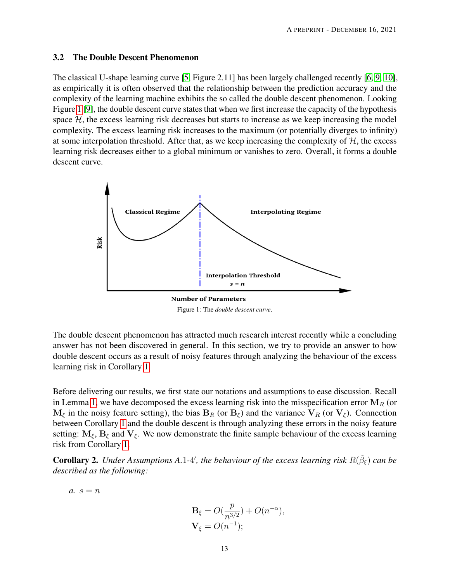#### <span id="page-12-1"></span>3.2 The Double Descent Phenomenon

The classical U-shape learning curve [\[5,](#page-26-4) Figure 2.11] has been largely challenged recently [\[6,](#page-26-5) [9,](#page-27-2) [10\]](#page-27-3), as empirically it is often observed that the relationship between the prediction accuracy and the complexity of the learning machine exhibits the so called the double descent phenomenon. Looking Figure [1](#page-12-2) [\[9\]](#page-27-2), the double descent curve states that when we first increase the capacity of the hypothesis space  $H$ , the excess learning risk decreases but starts to increase as we keep increasing the model complexity. The excess learning risk increases to the maximum (or potentially diverges to infinity) at some interpolation threshold. After that, as we keep increasing the complexity of  $H$ , the excess learning risk decreases either to a global minimum or vanishes to zero. Overall, it forms a double descent curve.

<span id="page-12-2"></span>

Figure 1: The *double descent curve*.

The double descent phenomenon has attracted much research interest recently while a concluding answer has not been discovered in general. In this section, we try to provide an answer to how double descent occurs as a result of noisy features through analyzing the behaviour of the excess learning risk in Corollary [1.](#page-11-0)

Before delivering our results, we first state our notations and assumptions to ease discussion. Recall in Lemma [1,](#page-6-2) we have decomposed the excess learning risk into the misspecification error  $M_R$  (or  $M_{\xi}$  in the noisy feature setting), the bias  $B_R$  (or  $B_{\xi}$ ) and the variance  $V_R$  (or  $V_{\xi}$ ). Connection between Corollary [1](#page-11-0) and the double descent is through analyzing these errors in the noisy feature setting:  $M_{\xi}$ ,  $B_{\xi}$  and  $V_{\xi}$ . We now demonstrate the finite sample behaviour of the excess learning risk from Corollary [1.](#page-11-0)

<span id="page-12-0"></span>**Corollary 2.** Under Assumptions A.1-4', the behaviour of the excess learning risk  $R(\tilde{\beta}_{\xi})$  can be *described as the following:*

 $a. s = n$ 

$$
\mathbf{B}_{\xi} = O(\frac{p}{n^{3/2}}) + O(n^{-\alpha}),
$$
  

$$
\mathbf{V}_{\xi} = O(n^{-1});
$$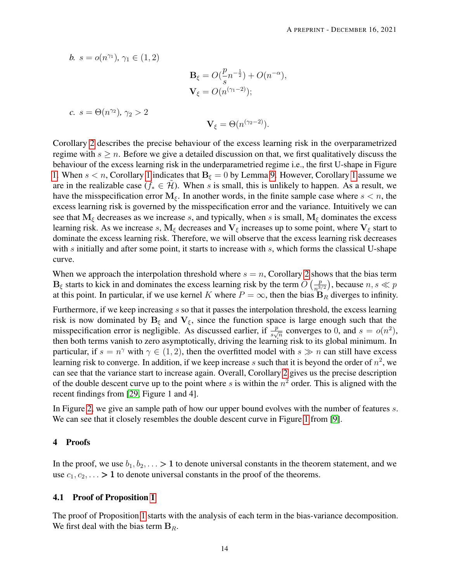b. 
$$
s = o(n^{\gamma_1}), \gamma_1 \in (1, 2)
$$
  
\n
$$
\mathbf{B}_{\xi} = O(\frac{p}{s}n^{-\frac{1}{2}}) + O(n^{-\alpha}),
$$
\n
$$
\mathbf{V}_{\xi} = O(n^{(\gamma_1 - 2)});
$$
\nc.  $s = \Theta(n^{\gamma_2}), \gamma_2 > 2$   
\n
$$
\mathbf{V}_{\xi} = \Theta(n^{(\gamma_2 - 2)}).
$$

Corollary [2](#page-12-0) describes the precise behaviour of the excess learning risk in the overparametrized regime with  $s \geq n$ . Before we give a detailed discussion on that, we first qualitatively discuss the behaviour of the excess learning risk in the underparametried regime i.e., the first U-shape in Figure [1.](#page-12-2) When  $s < n$ , Corollary [1](#page-11-0) indicates that  $B_{\xi} = 0$  by Lemma [9.](#page-29-2) However, Corollary 1 assume we are in the realizable case ( $f_* \in \mathcal{H}$ ). When s is small, this is unlikely to happen. As a result, we have the misspecification error  $M_{\xi}$ . In another words, in the finite sample case where  $s < n$ , the excess learning risk is governed by the misspecification error and the variance. Intuitively we can see that  $M_{\xi}$  decreases as we increase s, and typically, when s is small,  $M_{\xi}$  dominates the excess learning risk. As we increase s,  $M_{\xi}$  decreases and  $V_{\xi}$  increases up to some point, where  $V_{\xi}$  start to dominate the excess learning risk. Therefore, we will observe that the excess learning risk decreases with s initially and after some point, it starts to increase with s, which forms the classical U-shape curve.

When we approach the interpolation threshold where  $s = n$ , Corollary [2](#page-12-0) shows that the bias term  $\mathbf{B}_{\xi}$  starts to kick in and dominates the excess learning risk by the term  $O\left(\frac{p}{n^3}\right)$  $\left(\frac{p}{n^{3/2}}\right)$ , because  $n, s \ll p$ at this point. In particular, if we use kernel K where  $P = \infty$ , then the bias  $B_R$  diverges to infinity.

Furthermore, if we keep increasing s so that it passes the interpolation threshold, the excess learning risk is now dominated by  $B_{\xi}$  and  $V_{\xi}$ , since the function space is large enough such that the misspecification error is negligible. As discussed earlier, if  $\frac{p}{s\sqrt{n}}$  converges to 0, and  $s = o(n^2)$ , then both terms vanish to zero asymptotically, driving the learning risk to its global minimum. In particular, if  $s = n^{\gamma}$  with  $\gamma \in (1, 2)$ , then the overfitted model with  $s \gg n$  can still have excess learning risk to converge. In addition, if we keep increase s such that it is beyond the order of  $n^2$ , we can see that the variance start to increase again. Overall, Corollary [2](#page-12-0) gives us the precise description of the double descent curve up to the point where s is within the  $n^2$  order. This is aligned with the recent findings from [\[29,](#page-28-6) Figure 1 and 4].

In Figure [2,](#page-14-0) we give an sample path of how our upper bound evolves with the number of features s. We can see that it closely resembles the double descent curve in Figure [1](#page-12-2) from [\[9\]](#page-27-2).

### 4 Proofs

In the proof, we use  $b_1, b_2, \ldots > 1$  to denote universal constants in the theorem statement, and we use  $c_1, c_2, \ldots > 1$  to denote universal constants in the proof of the theorems.

#### <span id="page-13-0"></span>4.1 Proof of Proposition [1](#page-9-0)

The proof of Proposition [1](#page-9-0) starts with the analysis of each term in the bias-variance decomposition. We first deal with the bias term  $B_R$ .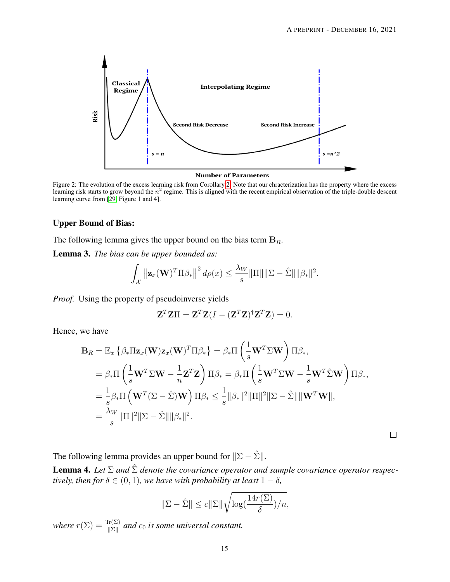<span id="page-14-0"></span>

Figure 2: The evolution of the excess learning risk from Corollary [2.](#page-12-0) Note that our chracterization has the property where the excess learning risk starts to grow beyond the  $n^2$  regime. This is aligned with the recent empirical observation of the triple-double descent learning curve from [\[29,](#page-28-6) Figure 1 and 4].

#### Upper Bound of Bias:

The following lemma gives the upper bound on the bias term  $B_R$ .

<span id="page-14-1"></span>Lemma 3. *The bias can be upper bounded as:*

$$
\int_{\mathcal{X}} \left\| \mathbf{z}_x(\mathbf{W})^T \Pi \beta_* \right\|^2 d\rho(x) \leq \frac{\lambda_W}{s} \|\Pi\| \|\Sigma - \hat{\Sigma}\| \|\beta_*\|^2.
$$

*Proof.* Using the property of pseudoinverse yields

$$
\mathbf{Z}^T \mathbf{Z} \Pi = \mathbf{Z}^T \mathbf{Z} (I - (\mathbf{Z}^T \mathbf{Z})^{\dagger} \mathbf{Z}^T \mathbf{Z}) = 0.
$$

Hence, we have

$$
\mathbf{B}_{R} = \mathbb{E}_{x} \left\{ \beta_{*} \Pi \mathbf{z}_{x}(\mathbf{W}) \mathbf{z}_{x}(\mathbf{W})^{T} \Pi \beta_{*} \right\} = \beta_{*} \Pi \left( \frac{1}{s} \mathbf{W}^{T} \Sigma \mathbf{W} \right) \Pi \beta_{*},
$$
  
\n
$$
= \beta_{*} \Pi \left( \frac{1}{s} \mathbf{W}^{T} \Sigma \mathbf{W} - \frac{1}{n} \mathbf{Z}^{T} \mathbf{Z} \right) \Pi \beta_{*} = \beta_{*} \Pi \left( \frac{1}{s} \mathbf{W}^{T} \Sigma \mathbf{W} - \frac{1}{s} \mathbf{W}^{T} \hat{\Sigma} \mathbf{W} \right) \Pi \beta_{*},
$$
  
\n
$$
= \frac{1}{s} \beta_{*} \Pi \left( \mathbf{W}^{T} (\Sigma - \hat{\Sigma}) \mathbf{W} \right) \Pi \beta_{*} \leq \frac{1}{s} ||\beta_{*}||^{2} ||\Pi||^{2} ||\Sigma - \hat{\Sigma}|| ||\mathbf{W}^{T} \mathbf{W}||,
$$
  
\n
$$
= \frac{\lambda_{W}}{s} ||\Pi||^{2} ||\Sigma - \hat{\Sigma}|| ||\beta_{*}||^{2}.
$$

 $\Box$ 

The following lemma provides an upper bound for  $||\Sigma - \hat{\Sigma}||$ .

<span id="page-14-2"></span>**Lemma 4.** Let  $\Sigma$  and  $\hat{\Sigma}$  denote the covariance operator and sample covariance operator respec*tively, then for*  $\delta \in (0, 1)$ *, we have with probability at least*  $1 - \delta$ *,* 

$$
\|\Sigma - \hat{\Sigma}\| \le c \|\Sigma\| \sqrt{\log(\frac{14r(\Sigma)}{\delta})/n},
$$

*where*  $r(\Sigma) = \frac{\text{Tr}(\Sigma)}{\|\Sigma\|}$  and  $c_0$  *is some universal constant.*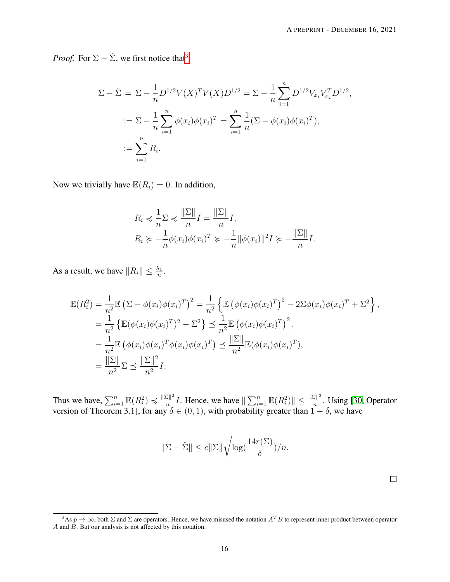*Proof.* For  $\Sigma - \hat{\Sigma}$ , we first notice that<sup>[3](#page-15-0)</sup>

$$
\Sigma - \hat{\Sigma} = \Sigma - \frac{1}{n} D^{1/2} V(X)^T V(X) D^{1/2} = \Sigma - \frac{1}{n} \sum_{i=1}^n D^{1/2} V_{x_i} V_{x_i}^T D^{1/2},
$$
  

$$
:= \Sigma - \frac{1}{n} \sum_{i=1}^n \phi(x_i) \phi(x_i)^T = \sum_{i=1}^n \frac{1}{n} (\Sigma - \phi(x_i) \phi(x_i)^T),
$$
  

$$
:= \sum_{i=1}^n R_i.
$$

Now we trivially have  $\mathbb{E}(R_i) = 0$ . In addition,

$$
R_i \preccurlyeq \frac{1}{n} \sum \preccurlyeq \frac{\|\Sigma\|}{n} I = \frac{\|\Sigma\|}{n} I,
$$
  
\n
$$
R_i \succcurlyeq -\frac{1}{n} \phi(x_i) \phi(x_i)^T \succcurlyeq -\frac{1}{n} \|\phi(x_i)\|^2 I \succcurlyeq -\frac{\|\Sigma\|}{n} I.
$$

As a result, we have  $||R_i|| \leq \frac{\lambda_1}{n}$ .

$$
\mathbb{E}(R_i^2) = \frac{1}{n^2} \mathbb{E} \left( \Sigma - \phi(x_i) \phi(x_i)^T \right)^2 = \frac{1}{n^2} \left\{ \mathbb{E} \left( \phi(x_i) \phi(x_i)^T \right)^2 - 2\Sigma \phi(x_i) \phi(x_i)^T + \Sigma^2 \right\},
$$
  
\n
$$
= \frac{1}{n^2} \left\{ \mathbb{E} (\phi(x_i) \phi(x_i)^T)^2 - \Sigma^2 \right\} \le \frac{1}{n^2} \mathbb{E} \left( \phi(x_i) \phi(x_i)^T \right)^2,
$$
  
\n
$$
= \frac{1}{n^2} \mathbb{E} \left( \phi(x_i) \phi(x_i)^T \phi(x_i) \phi(x_i)^T \right) \le \frac{\|\Sigma\|}{n^2} \mathbb{E} (\phi(x_i) \phi(x_i)^T),
$$
  
\n
$$
= \frac{\|\Sigma\|}{n^2} \Sigma \le \frac{\|\Sigma\|^2}{n^2} I.
$$

Thus we have,  $\sum_{i=1}^{n} \mathbb{E}(R_i^2) \preccurlyeq \frac{\|\Sigma\|^2}{n}$  $\frac{|\Sigma||^2}{n}I$ . Hence, we have  $\|\sum_{i=1}^n \mathbb{E}(R_i^2)\| \le \frac{\|\Sigma\|^2}{n}$  $\frac{\sum ||r||}{n}$ . Using [\[30,](#page-28-7) Operator version of Theorem 3.1], for any  $\delta \in (0,1)$ , with probability greater than  $1-\delta$ , we have

$$
\|\Sigma - \hat{\Sigma}\| \le c \|\Sigma\| \sqrt{\log(\frac{14r(\Sigma)}{\delta})/n}.
$$

<span id="page-15-0"></span><sup>&</sup>lt;sup>3</sup>As  $p \to \infty$ , both  $\Sigma$  and  $\hat{\Sigma}$  are operators. Hence, we have misused the notation  $A^T B$  to represent inner product between operator A and  $\overrightarrow{B}$ . But our analysis is not affected by this notation.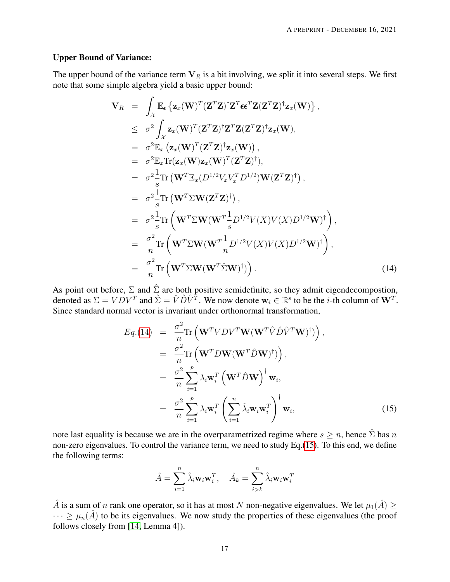#### Upper Bound of Variance:

The upper bound of the variance term  $V_R$  is a bit involving, we split it into several steps. We first note that some simple algebra yield a basic upper bound:

<span id="page-16-0"></span>
$$
\mathbf{V}_{R} = \int_{\mathcal{X}} \mathbb{E}_{\epsilon} \left\{ \mathbf{z}_{x}(\mathbf{W})^{T}(\mathbf{Z}^{T}\mathbf{Z})^{\dagger} \mathbf{Z}^{T} \epsilon \epsilon^{T} \mathbf{Z}(\mathbf{Z}^{T}\mathbf{Z})^{\dagger} \mathbf{z}_{x}(\mathbf{W}) \right\},
$$
\n
$$
\leq \sigma^{2} \int_{\mathcal{X}} \mathbf{z}_{x}(\mathbf{W})^{T}(\mathbf{Z}^{T}\mathbf{Z})^{\dagger} \mathbf{Z}^{T} \mathbf{Z}(\mathbf{Z}^{T}\mathbf{Z})^{\dagger} \mathbf{z}_{x}(\mathbf{W}),
$$
\n
$$
= \sigma^{2} \mathbb{E}_{x} \left( \mathbf{z}_{x}(\mathbf{W})^{T}(\mathbf{Z}^{T}\mathbf{Z})^{\dagger} \mathbf{z}_{x}(\mathbf{W}) \right),
$$
\n
$$
= \sigma^{2} \mathbb{E}_{x} \text{Tr}(\mathbf{z}_{x}(\mathbf{W}) \mathbf{z}_{x}(\mathbf{W})^{T}(\mathbf{Z}^{T}\mathbf{Z})^{\dagger}),
$$
\n
$$
= \sigma^{2} \frac{1}{s} \text{Tr} \left( \mathbf{W}^{T} \mathbb{E}_{x}(\mathbf{D}^{1/2} V_{x} V_{x}^{T} \mathbf{D}^{1/2}) \mathbf{W}(\mathbf{Z}^{T} \mathbf{Z})^{\dagger} \right),
$$
\n
$$
= \sigma^{2} \frac{1}{s} \text{Tr} \left( \mathbf{W}^{T} \Sigma \mathbf{W}(\mathbf{W}^{T} \frac{1}{s} \mathbf{D}^{1/2} V(X) V(X) \mathbf{D}^{1/2} \mathbf{W})^{\dagger} \right),
$$
\n
$$
= \frac{\sigma^{2}}{n} \text{Tr} \left( \mathbf{W}^{T} \Sigma \mathbf{W}(\mathbf{W}^{T} \frac{1}{n} \mathbf{D}^{1/2} V(X) V(X) \mathbf{D}^{1/2} \mathbf{W})^{\dagger} \right),
$$
\n
$$
= \frac{\sigma^{2}}{n} \text{Tr} \left( \mathbf{W}^{T} \Sigma \mathbf{W
$$

As point out before,  $\Sigma$  and  $\hat{\Sigma}$  are both positive semidefinite, so they admit eigendecompostion, denoted as  $\Sigma = VDV^T$  and  $\hat{\Sigma} = \hat{V}\hat{D}\hat{V}^T$ . We now denote  $\mathbf{w}_i \in \mathbb{R}^s$  to be the *i*-th column of  $\mathbf{W}^T$ . Since standard normal vector is invariant under orthonormal transformation,

<span id="page-16-1"></span>
$$
Eq.(14) = \frac{\sigma^2}{n} \text{Tr} \left( \mathbf{W}^T V D V^T \mathbf{W} (\mathbf{W}^T \hat{V} \hat{D} \hat{V}^T \mathbf{W})^{\dagger} \right),
$$
  
\n
$$
= \frac{\sigma^2}{n} \text{Tr} \left( \mathbf{W}^T D \mathbf{W} (\mathbf{W}^T \hat{D} \mathbf{W})^{\dagger} \right),
$$
  
\n
$$
= \frac{\sigma^2}{n} \sum_{i=1}^p \lambda_i \mathbf{w}_i^T \left( \mathbf{W}^T \hat{D} \mathbf{W} \right)^{\dagger} \mathbf{w}_i,
$$
  
\n
$$
= \frac{\sigma^2}{n} \sum_{i=1}^p \lambda_i \mathbf{w}_i^T \left( \sum_{i=1}^n \hat{\lambda}_i \mathbf{w}_i \mathbf{w}_i^T \right)^{\dagger} \mathbf{w}_i,
$$
(15)

note last equality is because we are in the overparametrized regime where  $s \geq n$ , hence  $\hat{\Sigma}$  has n non-zero eigenvalues. To control the variance term, we need to study Eq.[\(15\)](#page-16-1). To this end, we define the following terms:

$$
\hat{A} = \sum_{i=1}^{n} \hat{\lambda}_i \mathbf{w}_i \mathbf{w}_i^T, \quad \hat{A}_k = \sum_{i>k}^{n} \hat{\lambda}_i \mathbf{w}_i \mathbf{w}_i^T
$$

 $\hat{A}$  is a sum of n rank one operator, so it has at most N non-negative eigenvalues. We let  $\mu_1(\hat{A}) \geq$  $\cdots \geq \mu_n(\hat{A})$  to be its eigenvalues. We now study the properties of these eigenvalues (the proof follows closely from [\[14,](#page-27-7) Lemma 4]).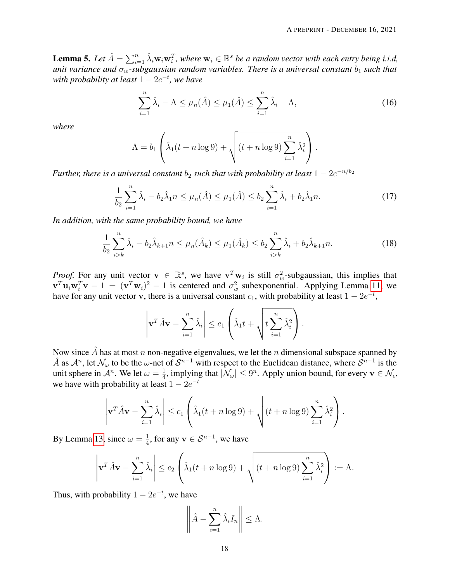<span id="page-17-3"></span>**Lemma 5.** Let  $\hat{A} = \sum_{i=1}^n \hat{\lambda}_i \mathbf{w}_i \mathbf{w}_i^T$ , where  $\mathbf{w}_i \in \mathbb{R}^s$  be a random vector with each entry being i.i.d, *unit variance and*  $\sigma_w$ -subgaussian random variables. There is a universal constant  $b_1$  *such that with probability at least* 1 − 2e −t *, we have*

<span id="page-17-0"></span>
$$
\sum_{i=1}^{n} \hat{\lambda}_i - \Lambda \le \mu_n(\hat{A}) \le \mu_1(\hat{A}) \le \sum_{i=1}^{n} \hat{\lambda}_i + \Lambda,\tag{16}
$$

*where*

$$
\Lambda = b_1 \left( \hat{\lambda}_1(t + n \log 9) + \sqrt{(t + n \log 9) \sum_{i=1}^n \hat{\lambda}_i^2} \right).
$$

*Further, there is a universal constant*  $b_2$  *such that with probability at least*  $1 - 2e^{-n/b_2}$ 

<span id="page-17-1"></span>
$$
\frac{1}{b_2} \sum_{i=1}^n \hat{\lambda}_i - b_2 \hat{\lambda}_1 n \le \mu_n(\hat{A}) \le \mu_1(\hat{A}) \le b_2 \sum_{i=1}^n \hat{\lambda}_i + b_2 \hat{\lambda}_1 n. \tag{17}
$$

*In addition, with the same probability bound, we have*

<span id="page-17-2"></span>
$$
\frac{1}{b_2} \sum_{i>k}^{n} \hat{\lambda}_i - b_2 \hat{\lambda}_{k+1} n \le \mu_n(\hat{A}_k) \le \mu_1(\hat{A}_k) \le b_2 \sum_{i>k}^{n} \hat{\lambda}_i + b_2 \hat{\lambda}_{k+1} n. \tag{18}
$$

*Proof.* For any unit vector  $\mathbf{v} \in \mathbb{R}^s$ , we have  $\mathbf{v}^T \mathbf{w}_i$  is still  $\sigma_w^2$ -subgaussian, this implies that  $\mathbf{v}^T \mathbf{u}_i \mathbf{w}_i^T \mathbf{v} - 1 = (\mathbf{v}^T \mathbf{w}_i)^2 - 1$  is centered and  $\sigma_w^2$  subexponential. Applying Lemma [11,](#page-30-0) we have for any unit vector v, there is a universal constant  $c_1$ , with probability at least  $1 - 2e^{-t}$ ,

$$
\left|\mathbf{v}^T \hat{A} \mathbf{v} - \sum_{i=1}^n \hat{\lambda}_i \right| \leq c_1 \left( \hat{\lambda}_1 t + \sqrt{t \sum_{i=1}^n \hat{\lambda}_i^2} \right).
$$

Now since  $\hat{A}$  has at most n non-negative eigenvalues, we let the n dimensional subspace spanned by  $\hat{A}$  as  $\mathcal{A}^n$ , let  $\mathcal{N}_{\omega}$  to be the  $\omega$ -net of  $\mathcal{S}^{n-1}$  with respect to the Euclidean distance, where  $\hat{\mathcal{S}}^{n-1}$  is the unit sphere in  $\mathcal{A}^n$ . We let  $\omega = \frac{1}{4}$  $\frac{1}{4}$ , implying that  $|\mathcal{N}_{\omega}| \leq 9^n$ . Apply union bound, for every  $\mathbf{v} \in \mathcal{N}_{\epsilon}$ , we have with probability at least  $1 - 2e^{-t}$ 

$$
\left|\mathbf{v}^T \hat{A} \mathbf{v} - \sum_{i=1}^n \hat{\lambda}_i \right| \le c_1 \left( \hat{\lambda}_1(t+n \log 9) + \sqrt{(t+n \log 9) \sum_{i=1}^n \hat{\lambda}_i^2} \right).
$$

By Lemma [13,](#page-30-1) since  $\omega = \frac{1}{4}$  $\frac{1}{4}$ , for any  $\mathbf{v} \in \mathcal{S}^{n-1}$ , we have

$$
\left|\mathbf{v}^T \hat{A} \mathbf{v} - \sum_{i=1}^n \hat{\lambda}_i\right| \le c_2 \left(\hat{\lambda}_1(t+n \log 9) + \sqrt{(t+n \log 9) \sum_{i=1}^n \hat{\lambda}_i^2}\right) := \Lambda.
$$

Thus, with probability  $1 - 2e^{-t}$ , we have

$$
\left\|\hat{A} - \sum_{i=1}^n \hat{\lambda}_i I_n\right\| \leq \Lambda.
$$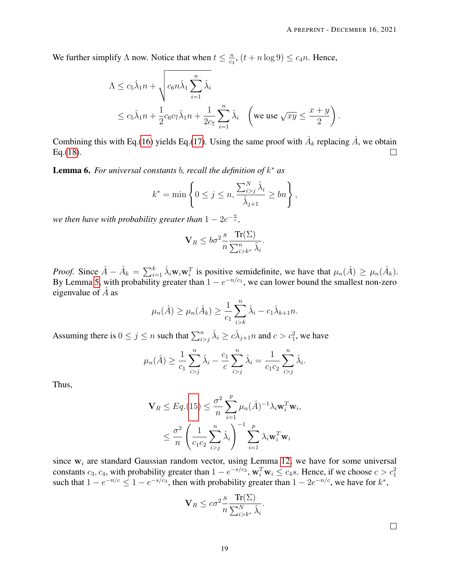We further simplify  $\Lambda$  now. Notice that when  $t \leq \frac{n}{c_0}$  $\frac{n}{c_3}$ ,  $(t + n \log 9) \leq c_4 n$ . Hence,

$$
\Lambda \leq c_5 \hat{\lambda}_1 n + \sqrt{c_6 n \hat{\lambda}_1 \sum_{i=1}^n \hat{\lambda}_i}
$$
  
 
$$
\leq c_5 \hat{\lambda}_1 n + \frac{1}{2} c_6 c_7 \hat{\lambda}_1 n + \frac{1}{2c_7} \sum_{i=1}^n \hat{\lambda}_i \quad \left(\text{we use } \sqrt{xy} \leq \frac{x+y}{2}\right).
$$

Combining this with Eq.[\(16\)](#page-17-0) yields Eq.[\(17\)](#page-17-1). Using the same proof with  $\hat{A}_k$  replacing  $\hat{A}$ , we obtain Eq.[\(18\)](#page-17-2).  $\Box$ 

<span id="page-18-0"></span>Lemma 6. *For universal constants* b*, recall the definition of* k <sup>∗</sup> *as*

$$
k^* = \min\left\{0 \le j \le n, \frac{\sum_{i>j}^N \hat{\lambda}_i}{\hat{\lambda}_{j+1}} \ge bn\right\},\,
$$

we then have with probability greater than  $1-2e^{-\frac{n}{c}},$ 

$$
\mathbf{V}_R \le b\sigma^2 \frac{s}{n} \frac{\text{Tr}(\Sigma)}{\sum_{i>k^*}^n \hat{\lambda}_i}.
$$

*Proof.* Since  $\hat{A} - \hat{A}_k = \sum_{i=1}^k \hat{\lambda}_i \mathbf{w}_i \mathbf{w}_i^T$  is positive semidefinite, we have that  $\mu_n(\hat{A}) \ge \mu_n(\hat{A}_k)$ . By Lemma [5,](#page-17-3) with probability greater than  $1 - e^{-n/c_1}$ , we can lower bound the smallest non-zero eigenvalue of  $\overline{A}$  as

$$
\mu_n(\hat{A}) \ge \mu_n(\hat{A}_k) \ge \frac{1}{c_1} \sum_{i>k}^n \hat{\lambda}_i - c_1 \hat{\lambda}_{k+1} n.
$$

Assuming there is  $0 \le j \le n$  such that  $\sum_{i>j}^n \hat{\lambda}_i \ge c\hat{\lambda}_{j+1}$  and  $c > c_1^2$ , we have

$$
\mu_n(\hat{A}) \ge \frac{1}{c_1} \sum_{i>j}^n \hat{\lambda}_i - \frac{c_1}{c} \sum_{i>j}^n \hat{\lambda}_i = \frac{1}{c_1 c_2} \sum_{i>j}^n \hat{\lambda}_i.
$$

Thus,

$$
\mathbf{V}_R \leq Eq. (15) \leq \frac{\sigma^2}{n} \sum_{i=1}^p \mu_n(\hat{A})^{-1} \lambda_i \mathbf{w}_i^T \mathbf{w}_i,
$$

$$
\leq \frac{\sigma^2}{n} \left( \frac{1}{c_1 c_2} \sum_{i>j}^n \hat{\lambda}_i \right)^{-1} \sum_{i=1}^p \lambda_i \mathbf{w}_i^T \mathbf{w}_i
$$

since  $w_i$  are standard Gaussian random vector, using Lemma [12,](#page-30-2) we have for some universal constants  $c_3, c_4$ , with probability greater than  $1 - e^{-s/c_3}$ ,  $\mathbf{w}_i^T \mathbf{w}_i \le c_4 s$ . Hence, if we choose  $c > c_1^2$ such that  $1 - e^{-n/c} \leq 1 - e^{-s/c_3}$ , then with probability greater than  $1 - 2e^{-n/c}$ , we have for  $k^*$ ,

$$
\mathbf{V}_R \leq c\sigma^2 \frac{s}{n} \frac{\operatorname{Tr}(\Sigma)}{\sum_{i>k^*}^N \hat{\lambda}_i}.
$$

 $\Box$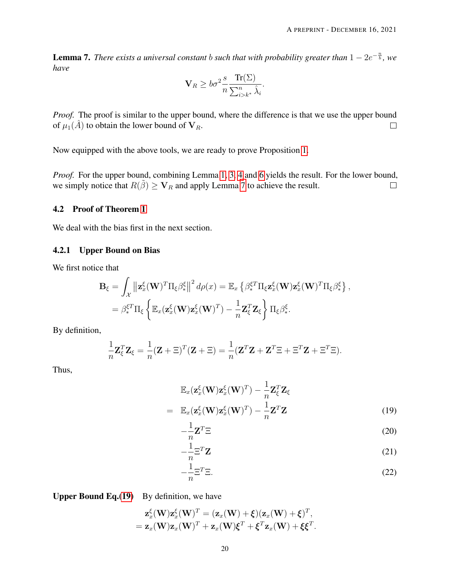<span id="page-19-1"></span>**Lemma 7.** There exists a universal constant *b* such that with probability greater than  $1 - 2e^{-\frac{n}{b}}$ , we *have*

$$
\mathbf{V}_R \ge b\sigma^2 \frac{s}{n} \frac{\text{Tr}(\Sigma)}{\sum_{i>k^*}^n \hat{\lambda}_i}.
$$

*Proof.* The proof is similar to the upper bound, where the difference is that we use the upper bound of  $\mu_1(\hat{A})$  to obtain the lower bound of  $V_R$ .  $\Box$ 

Now equipped with the above tools, we are ready to prove Proposition [1.](#page-9-0)

*Proof.* For the upper bound, combining Lemma [1,](#page-6-2) [3,](#page-14-1) [4](#page-14-2) and [6](#page-18-0) yields the result. For the lower bound, we simply notice that  $R(\tilde{\beta}) \geq V_R$  and apply Lemma [7](#page-19-1) to achieve the result.  $\Box$ 

#### <span id="page-19-0"></span>4.2 Proof of Theorem [1](#page-8-0)

We deal with the bias first in the next section.

#### 4.2.1 Upper Bound on Bias

We first notice that

$$
\mathbf{B}_{\xi} = \int_{\mathcal{X}} \left\| \mathbf{z}_{x}^{\xi}(\mathbf{W})^{T} \Pi_{\xi} \beta_{*}^{\xi} \right\|^{2} d\rho(x) = \mathbb{E}_{x} \left\{ \beta_{*}^{\xi T} \Pi_{\xi} \mathbf{z}_{x}^{\xi}(\mathbf{W}) \mathbf{z}_{x}^{\xi}(\mathbf{W})^{T} \Pi_{\xi} \beta_{*}^{\xi} \right\},
$$
  
=  $\beta_{*}^{\xi T} \Pi_{\xi} \left\{ \mathbb{E}_{x} (\mathbf{z}_{x}^{\xi}(\mathbf{W}) \mathbf{z}_{x}^{\xi}(\mathbf{W})^{T}) - \frac{1}{n} \mathbf{Z}_{\xi}^{T} \mathbf{Z}_{\xi} \right\} \Pi_{\xi} \beta_{*}^{\xi}.$ 

By definition,

$$
\frac{1}{n}\mathbf{Z}_{\xi}^{T}\mathbf{Z}_{\xi} = \frac{1}{n}(\mathbf{Z} + \Xi)^{T}(\mathbf{Z} + \Xi) = \frac{1}{n}(\mathbf{Z}^{T}\mathbf{Z} + \mathbf{Z}^{T}\Xi + \Xi^{T}\mathbf{Z} + \Xi^{T}\Xi).
$$

Thus,

<span id="page-19-2"></span>
$$
\mathbb{E}_x(\mathbf{z}_x^{\xi}(\mathbf{W})\mathbf{z}_x^{\xi}(\mathbf{W})^T) - \frac{1}{n}\mathbf{Z}_{\xi}^T \mathbf{Z}_{\xi}
$$
\n
$$
= \mathbb{E}_x(\mathbf{z}_x^{\xi}(\mathbf{W})\mathbf{z}_x^{\xi}(\mathbf{W})^T) - \frac{1}{n}\mathbf{Z}^T \mathbf{Z}
$$
\n(19)

$$
-\frac{1}{n}\mathbf{Z}^T\Xi
$$
 (20)

$$
-\frac{1}{n}\Xi^T \mathbf{Z} \tag{21}
$$

$$
-\frac{1}{n}\Xi^T\Xi.
$$
 (22)

Upper Bound Eq.[\(19\)](#page-19-2) By definition, we have

$$
\mathbf{z}_x^{\xi}(\mathbf{W})\mathbf{z}_x^{\xi}(\mathbf{W})^T = (\mathbf{z}_x(\mathbf{W}) + \xi)(\mathbf{z}_x(\mathbf{W}) + \xi)^T,
$$
  
=  $\mathbf{z}_x(\mathbf{W})\mathbf{z}_x(\mathbf{W})^T + \mathbf{z}_x(\mathbf{W})\xi^T + \xi^T\mathbf{z}_x(\mathbf{W}) + \xi\xi^T.$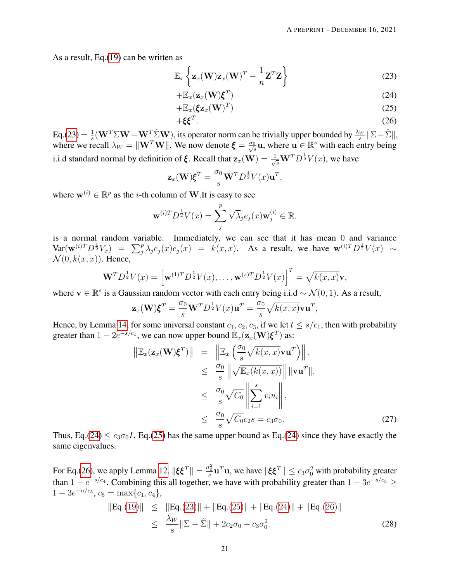As a result, Eq.[\(19\)](#page-19-2) can be written as

<span id="page-20-0"></span>
$$
\mathbb{E}_x\left\{\mathbf{z}_x(\mathbf{W})\mathbf{z}_x(\mathbf{W})^T - \frac{1}{n}\mathbf{Z}^T\mathbf{Z}\right\}
$$
 (23)

$$
+\mathbb{E}_x(\mathbf{z}_x(\mathbf{W})\boldsymbol{\xi}^T) \tag{24}
$$

$$
+\mathbb{E}_x(\xi \mathbf{z}_x(\mathbf{W})^T) \tag{25}
$$

$$
+\xi\xi^T.\tag{26}
$$

 $Eq.(23) = \frac{1}{s}$  $Eq.(23) = \frac{1}{s}$  $Eq.(23) = \frac{1}{s}$  $\frac{1}{s}$ (**W**<sup>T</sup> $\sum$ **W** − **W**<sup>T</sup> $\sum$ <sup>2</sup>W), its operator norm can be trivially upper bounded by  $\frac{\lambda_W}{s}$ || $\Sigma - \hat{\Sigma}$ ||, where we recall  $\lambda_W = ||\mathbf{W}^T \mathbf{W}||$ . We now denote  $\boldsymbol{\xi} = \frac{\sigma_0}{\sqrt{s}} \mathbf{u}$ , where  $\mathbf{u} \in \mathbb{R}^s$  with each entry being i.i.d standard normal by definition of  $\xi$ . Recall that  $\mathbf{z}_x(\mathbf{W}) = \frac{1}{\sqrt{s}} \mathbf{W}^T D^{\frac{1}{2}} V(x)$ , we have

$$
\mathbf{z}_x(\mathbf{W})\boldsymbol{\xi}^T = \frac{\sigma_0}{s}\mathbf{W}^T D^{\frac{1}{2}}V(x)\mathbf{u}^T,
$$

where  $\mathbf{w}^{(i)} \in \mathbb{R}^p$  as the *i*-th column of **W**. It is easy to see

$$
\mathbf{w}^{(i)T}D^{\frac{1}{2}}V(x) = \sum_{j}^{p} \sqrt{\lambda_j} e_j(x) \mathbf{w}_j^{(i)} \in \mathbb{R}.
$$

is a normal random variable. Immediately, we can see that it has mean 0 and variance  $\text{Var}(\mathbf{w}^{(i)T}D^{\frac{1}{2}}V_x) = \sum_j^p \lambda_j e_j(x) e_j(x) = k(x,x)$ . As a result, we have  $\mathbf{w}^{(i)T}D^{\frac{1}{2}}V(x) \sim$  $\mathcal{N}(0, k(x, x))$ . Hence,

$$
\mathbf{W}^T D^{\frac{1}{2}} V(x) = \left[ \mathbf{w}^{(1)T} D^{\frac{1}{2}} V(x), \dots, \mathbf{w}^{(s)T} D^{\frac{1}{2}} V(x) \right]^T = \sqrt{k(x,x)} \mathbf{v},
$$

where  $\mathbf{v} \in \mathbb{R}^s$  is a Gaussian random vector with each entry being i.i.d ~  $\mathcal{N}(0, 1)$ . As a result,

$$
\mathbf{z}_x(\mathbf{W})\boldsymbol{\xi}^T = \frac{\sigma_0}{s}\mathbf{W}^T D^{\frac{1}{2}}V(x)\mathbf{u}^T = \frac{\sigma_0}{s}\sqrt{k(x,x)}\mathbf{v}\mathbf{u}^T,
$$

Hence, by Lemma [14,](#page-31-0) for some universal constant  $c_1, c_2, c_3$ , if we let  $t \leq s/c_1$ , then with probability greater than  $1 - 2e^{-s/c_1}$ , we can now upper bound  $\mathbb{E}_x(\mathbf{z}_x(\mathbf{W})\boldsymbol{\xi}^T)$  as:

<span id="page-20-2"></span>
$$
\|\mathbb{E}_x(\mathbf{z}_x(\mathbf{W})\boldsymbol{\xi}^T)\| = \|\mathbb{E}_x\left(\frac{\sigma_0}{s}\sqrt{k(x,x)}\mathbf{v}\mathbf{u}^T\right)\|,
$$
  
\n
$$
\leq \frac{\sigma_0}{s}\|\sqrt{\mathbb{E}_x(k(x,x))}\| \|\mathbf{v}\mathbf{u}^T\|,
$$
  
\n
$$
\leq \frac{\sigma_0}{s}\sqrt{C_0}\left\|\sum_{i=1}^s v_i u_i\right\|,
$$
  
\n
$$
\leq \frac{\sigma_0}{s}\sqrt{C_0}c_2s = c_3\sigma_0.
$$
\n(27)

Thus, Eq.[\(24\)](#page-20-0)  $\leq c_3\sigma_0 I$ . Eq.[\(25\)](#page-20-0) has the same upper bound as Eq.(24) since they have exactly the same eigenvalues.

For Eq.[\(26\)](#page-20-0), we apply Lemma [12,](#page-30-2)  $\|\xi \xi^T\| = \frac{\sigma_0^2}{s}\mathbf{u}^T\mathbf{u}$ , we have  $\|\xi \xi^T\| \le c_3\sigma_0^2$  with probability greater than  $1 - e^{-s/c_4}$ . Combining this all together, we have with probability greater than  $1 - 3e^{-s/c_5} \ge$  $1 - 3e^{-n/c_5}, c_5 = \max\{c_1, c_4\},\$ 

<span id="page-20-1"></span>
$$
||Eq.(19)|| \le ||Eq.(23)|| + ||Eq.(25)|| + ||Eq.(24)|| + ||Eq.(26)||
$$
  
\n
$$
\le \frac{\lambda_W}{s} ||\Sigma - \hat{\Sigma}|| + 2c_2\sigma_0 + c_3\sigma_0^2.
$$
\n(28)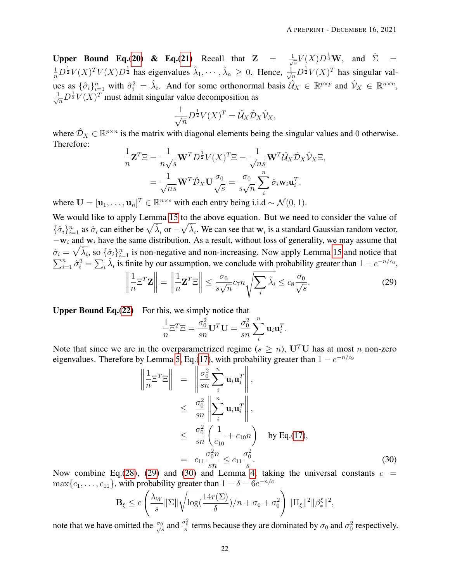Upper Bound Eq.[\(20\)](#page-19-2) & Eq.[\(21\)](#page-19-2) Recall that  $Z = \frac{1}{\sqrt{2}}$  $\frac{1}{s}V(X)D^{\frac{1}{2}}\mathbf{W}$ , and  $\hat{\Sigma}$  =  $\frac{1}{n}D^{\frac{1}{2}}V(X)^T V(X)D^{\frac{1}{2}}$  has eigenvalues  $\hat{\lambda}_1, \cdots, \hat{\lambda}_n \geq 0$ . Hence,  $\frac{1}{\sqrt{n}}D^{\frac{1}{2}}V(X)^T$  has singular values as  $\{\hat{\sigma}_i\}_{i=1}^n$  with  $\hat{\sigma}_i^2 = \hat{\lambda}_i$ . And for some orthonormal basis  $\hat{\mathcal{U}}_X \in \mathbb{R}^{p \times p}$  and  $\hat{\mathcal{V}}_X \in \mathbb{R}^{n \times n}$ ,  $\frac{1}{\sqrt{n}}D^{\frac{1}{2}}V(X)^{T}$  must admit singular value decomposition as

$$
\frac{1}{\sqrt{n}}D^{\frac{1}{2}}V(X)^{T} = \hat{\mathcal{U}}_{X}\hat{\mathcal{D}}_{X}\hat{\mathcal{V}}_{X},
$$

where  $\hat{\mathcal{D}}_X \in \mathbb{R}^{p \times n}$  is the matrix with diagonal elements being the singular values and 0 otherwise. Therefore:

$$
\frac{1}{n}\mathbf{Z}^T \Xi = \frac{1}{n\sqrt{s}} \mathbf{W}^T D^{\frac{1}{2}} V(X)^T \Xi = \frac{1}{\sqrt{ns}} \mathbf{W}^T \hat{\mathcal{U}}_X \hat{\mathcal{D}}_X \hat{\mathcal{V}}_X \Xi,
$$

$$
= \frac{1}{\sqrt{ns}} \mathbf{W}^T \hat{\mathcal{D}}_X \mathbf{U} \frac{\sigma_0}{\sqrt{s}} = \frac{\sigma_0}{s\sqrt{n}} \sum_{i}^{n} \hat{\sigma}_i \mathbf{w}_i \mathbf{u}_i^T.
$$

where  $\mathbf{U} = [\mathbf{u}_1, \dots, \mathbf{u}_n]^T \in \mathbb{R}^{n \times s}$  with each entry being i.i.d  $\sim \mathcal{N}(0, 1)$ .

We would like to apply Lemma [15](#page-32-0) to the above equation. But we need to consider the value of  $\{\hat{\sigma}_i\}_{i=1}^n$  as  $\hat{\sigma}_i$  can either be  $\sqrt{\hat{\lambda}_i}$  or  $-\sqrt{\hat{\lambda}_i}$ . We can see that  $w_i$  is a standard Gaussian random vector,  $-w_i$  and w<sub>i</sub> have the same distribution. As a result, without loss of generality, we may assume that  $\hat{\sigma}_i = \sqrt{\hat{\lambda}_i}$ , so  $\{\hat{\sigma}_i\}_{i=1}^n$  is non-negative and non-increasing. Now apply Lemma [15](#page-32-0) and notice that  $\sum_{i=1}^n \hat{\sigma}_i^2 = \sum_i \hat{\lambda}_i$  is finite by our assumption, we conclude with probability greater than  $1 - e^{-n/c_6}$ ,

<span id="page-21-0"></span>
$$
\left\| \frac{1}{n} \Xi^T \mathbf{Z} \right\| = \left\| \frac{1}{n} \mathbf{Z}^T \Xi \right\| \le \frac{\sigma_0}{s \sqrt{n}} c_7 n \sqrt{\sum_i \hat{\lambda}_i} \le c_8 \frac{\sigma_0}{\sqrt{s}}.
$$
 (29)

**Upper Bound Eq.** $(22)$  For this, we simply notice that

$$
\frac{1}{n}\Xi^T\Xi = \frac{\sigma_0^2}{sn}\mathbf{U}^T\mathbf{U} = \frac{\sigma_0^2}{sn}\sum_i^n \mathbf{u}_i\mathbf{u}_i^T.
$$

Note that since we are in the overparametrized regime ( $s \geq n$ ), U<sup>T</sup>U has at most n non-zero eigenvalues. Therefore by Lemma [5,](#page-17-3) Eq.[\(17\)](#page-17-1), with probability greater than  $1 - e^{-n/c_9}$ 

<span id="page-21-1"></span>
$$
\left\| \frac{1}{n} \Xi^T \Xi \right\| = \left\| \frac{\sigma_0^2}{sn} \sum_i^n \mathbf{u}_i \mathbf{u}_i^T \right\|,
$$
  
\n
$$
\leq \frac{\sigma_0^2}{sn} \left\| \sum_i^n \mathbf{u}_i \mathbf{u}_i^T \right\|,
$$
  
\n
$$
\leq \frac{\sigma_0^2}{sn} \left( \frac{1}{c_{10}} + c_{10}n \right) \quad \text{by Eq.(17)},
$$
  
\n
$$
= c_{11} \frac{\sigma_0^2 n}{sn} \leq c_{11} \frac{\sigma_0^2}{s}.
$$
 (30)

Now combine Eq.[\(28\)](#page-20-1), [\(29\)](#page-21-0) and [\(30\)](#page-21-1) and Lemma [4,](#page-14-2) taking the universal constants  $c =$  $\max\{c_1, \ldots, c_{11}\}\$ , with probability greater than  $1 - \delta - 6e^{-n/c}$ 

$$
\mathbf{B}_{\xi} \le c \left( \frac{\lambda_W}{s} \|\Sigma\| \sqrt{\log(\frac{14r(\Sigma)}{\delta})/n} + \sigma_0 + \sigma_0^2 \right) \|\Pi_{\xi}\|^2 \|\beta_{*}^{\xi}\|^2,
$$

note that we have omitted the  $\frac{\sigma_0}{\sqrt{s}}$  and  $\frac{\sigma_0^2}{s}$  terms because they are dominated by  $\sigma_0$  and  $\sigma_0^2$  respectively.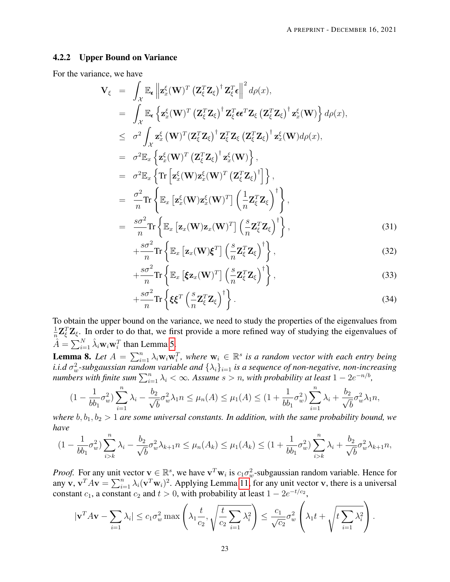#### 4.2.2 Upper Bound on Variance

For the variance, we have

<span id="page-22-1"></span>
$$
\mathbf{V}_{\xi} = \int_{\mathcal{X}} \mathbb{E}_{\epsilon} \left\| \mathbf{z}_{x}^{\xi}(\mathbf{W})^{T} \left( \mathbf{Z}_{\xi}^{T} \mathbf{Z}_{\xi} \right)^{\dagger} \mathbf{Z}_{\xi}^{T} \epsilon \right\|^{2} d\rho(x),
$$
\n
$$
= \int_{\mathcal{X}} \mathbb{E}_{\epsilon} \left\{ \mathbf{z}_{x}^{\xi}(\mathbf{W})^{T} \left( \mathbf{Z}_{\xi}^{T} \mathbf{Z}_{\xi} \right)^{\dagger} \mathbf{Z}_{\xi}^{T} \epsilon \epsilon^{T} \mathbf{Z}_{\xi} \left( \mathbf{Z}_{\xi}^{T} \mathbf{Z}_{\xi} \right)^{\dagger} \mathbf{z}_{x}^{\xi}(\mathbf{W}) \right\} d\rho(x),
$$
\n
$$
\leq \sigma^{2} \int_{\mathcal{X}} \mathbf{z}_{x}^{\xi}(\mathbf{W})^{T} \left( \mathbf{Z}_{\xi}^{T} \mathbf{Z}_{\xi} \right)^{\dagger} \mathbf{Z}_{\xi}^{T} \mathbf{Z}_{\xi} \left( \mathbf{Z}_{\xi}^{T} \mathbf{Z}_{\xi} \right)^{\dagger} \mathbf{z}_{x}^{\xi}(\mathbf{W}) d\rho(x),
$$
\n
$$
= \sigma^{2} \mathbb{E}_{x} \left\{ \mathbf{z}_{x}^{\xi}(\mathbf{W})^{T} \left( \mathbf{Z}_{\xi}^{T} \mathbf{Z}_{\xi} \right)^{\dagger} \mathbf{z}_{x}^{\xi}(\mathbf{W}) \right\},
$$
\n
$$
= \sigma^{2} \mathbb{E}_{x} \left\{ \text{Tr} \left[ \mathbf{z}_{x}^{\xi}(\mathbf{W}) \mathbf{z}_{x}^{\xi}(\mathbf{W})^{T} \left( \mathbf{Z}_{\xi}^{T} \mathbf{Z}_{\xi} \right)^{\dagger} \right\},
$$
\n
$$
= \frac{\sigma^{2}}{n} \text{Tr} \left\{ \mathbb{E}_{x} \left[ \mathbf{z}_{x}(\mathbf{W}) \mathbf{z}_{x}(\mathbf{W})^{T} \right] \left( \frac{1}{n} \mathbf{Z}_{\xi}^{T} \mathbf{Z}_{\xi} \right)^{\dagger} \
$$

$$
+\frac{s\sigma^2}{n}\mathrm{Tr}\left\{\mathbb{E}_x\left[\mathbf{z}_x(\mathbf{W})\boldsymbol{\xi}^T\right]\left(\frac{s}{n}\mathbf{Z}_{\xi}^T\mathbf{Z}_{\xi}\right)^{\dagger}\right\},\tag{32}
$$

$$
+\frac{s\sigma^2}{n}\mathrm{Tr}\left\{\mathbb{E}_x\left[\xi\mathbf{z}_x(\mathbf{W})^T\right]\left(\frac{s}{n}\mathbf{Z}_{\xi}^T\mathbf{Z}_{\xi}\right)^{\dagger}\right\},\tag{33}
$$

$$
+\frac{s\sigma^2}{n}\mathrm{Tr}\left\{\xi\xi^T\left(\frac{s}{n}\mathbf{Z}_{\xi}^T\mathbf{Z}_{\xi}\right)^{\dagger}\right\}.
$$
\n(34)

To obtain the upper bound on the variance, we need to study the properties of the eigenvalues from 1  $\frac{1}{n}Z_{\xi}^{T}Z_{\xi}$ . In order to do that, we first provide a more refined way of studying the eigenvalues of  $\hat{A} = \sum_{i=1}^{N} \hat{\lambda}_i \mathbf{w}_i \mathbf{w}_i^T$  than Lemma [5.](#page-17-3)

<span id="page-22-0"></span>**Lemma 8.** Let  $A = \sum_{i=1}^{n} \lambda_i w_i w_i^T$ , where  $w_i \in \mathbb{R}^s$  is a random vector with each entry being  $i.i.d\ \sigma_w^2$ -subgaussian random variable and  $\{\lambda_i\}_{i=1}$  is a sequence of non-negative, non-increasing *numbers with finite sum*  $\sum_{i=1}^{n} \lambda_i < \infty$ . Assume  $s > n$ , with probability at least  $1 - 2e^{-n/b}$ ,

$$
(1 - \frac{1}{bb_1} \sigma_w^2) \sum_{i=1}^n \lambda_i - \frac{b_2}{\sqrt{b}} \sigma_w^2 \lambda_1 n \le \mu_n(A) \le \mu_1(A) \le (1 + \frac{1}{bb_1} \sigma_w^2) \sum_{i=1}^n \lambda_i + \frac{b_2}{\sqrt{b}} \sigma_w^2 \lambda_1 n,
$$

*where*  $b, b_1, b_2 > 1$  *are some universal constants. In addition, with the same probability bound, we have*

$$
(1 - \frac{1}{bb_1} \sigma_w^2) \sum_{i > k}^n \lambda_i - \frac{b_2}{\sqrt{b}} \sigma_w^2 \lambda_{k+1} n \le \mu_n(A_k) \le \mu_1(A_k) \le (1 + \frac{1}{bb_1} \sigma_w^2) \sum_{i > k}^n \lambda_i + \frac{b_2}{\sqrt{b}} \sigma_w^2 \lambda_{k+1} n,
$$

*Proof.* For any unit vector  $v \in \mathbb{R}^s$ , we have  $v^T w_i$  is  $c_1 \sigma_w^2$ -subgaussian random variable. Hence for any v,  $\mathbf{v}^T A \mathbf{v} = \sum_{i=1}^n \lambda_i (\mathbf{v}^T \mathbf{w}_i)^2$ . Applying Lemma [11,](#page-30-0) for any unit vector v, there is a universal constant  $c_1$ , a constant  $c_2$  and  $t > 0$ , with probability at least  $1 - 2e^{-t/c_2}$ ,

$$
|\mathbf{v}^T A \mathbf{v} - \sum_{i=1} \lambda_i| \le c_1 \sigma_w^2 \max\left(\lambda_1 \frac{t}{c_2}, \sqrt{\frac{t}{c_2} \sum_{i=1} \lambda_i^2}\right) \le \frac{c_1}{\sqrt{c_2}} \sigma_w^2 \left(\lambda_1 t + \sqrt{t \sum_{i=1} \lambda_i^2}\right).
$$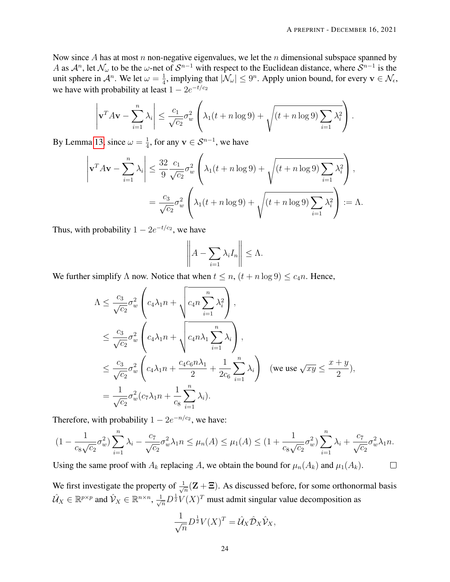Now since A has at most n non-negative eigenvalues, we let the n dimensional subspace spanned by A as  $\mathcal{A}^n$ , let  $\mathcal{N}_\omega$  to be the  $\omega$ -net of  $\mathcal{S}^{n-1}$  with respect to the Euclidean distance, where  $\mathcal{S}^{n-1}$  is the unit sphere in  $\mathcal{A}^n$ . We let  $\omega = \frac{1}{4}$  $\frac{1}{4}$ , implying that  $|\mathcal{N}_{\omega}| \leq 9^n$ . Apply union bound, for every  $\mathbf{v} \in \mathcal{N}_{\epsilon}$ , we have with probability at least  $1 - 2e^{-t/c_2}$ 

$$
\left|\mathbf{v}^T A \mathbf{v} - \sum_{i=1}^n \lambda_i\right| \le \frac{c_1}{\sqrt{c_2}} \sigma_w^2 \left(\lambda_1 (t + n \log 9) + \sqrt{(t + n \log 9) \sum_{i=1}^n \lambda_i^2}\right).
$$

By Lemma [13,](#page-30-1) since  $\omega = \frac{1}{4}$  $\frac{1}{4}$ , for any  $\mathbf{v} \in \mathcal{S}^{n-1}$ , we have

$$
\left|\mathbf{v}^T A \mathbf{v} - \sum_{i=1}^n \lambda_i\right| \le \frac{32}{9} \frac{c_1}{\sqrt{c_2}} \sigma_w^2 \left(\lambda_1 (t + n \log 9) + \sqrt{\left(t + n \log 9\right) \sum_{i=1}^n \lambda_i^2}\right),
$$
  
=  $\frac{c_3}{\sqrt{c_2}} \sigma_w^2 \left(\lambda_1 (t + n \log 9) + \sqrt{\left(t + n \log 9\right) \sum_{i=1}^n \lambda_i^2}\right) := \Lambda.$ 

Thus, with probability  $1 - 2e^{-t/c_2}$ , we have

$$
\left\| A - \sum_{i=1} \lambda_i I_n \right\| \leq \Lambda.
$$

We further simplify  $\Lambda$  now. Notice that when  $t \leq n$ ,  $(t + n \log 9) \leq c_4 n$ . Hence,

$$
\begin{split}\n\Lambda &\leq \frac{c_3}{\sqrt{c_2}} \sigma_w^2 \left( c_4 \lambda_1 n + \sqrt{c_4 n \sum_{i=1}^n \lambda_i^2} \right), \\
&\leq \frac{c_3}{\sqrt{c_2}} \sigma_w^2 \left( c_4 \lambda_1 n + \sqrt{c_4 n \lambda_1 \sum_{i=1}^n \lambda_i} \right), \\
&\leq \frac{c_3}{\sqrt{c_2}} \sigma_w^2 \left( c_4 \lambda_1 n + \frac{c_4 c_6 n \lambda_1}{2} + \frac{1}{2c_6} \sum_{i=1}^n \lambda_i \right) \quad (\text{we use } \sqrt{xy} \leq \frac{x+y}{2}), \\
&= \frac{1}{\sqrt{c_2}} \sigma_w^2 (c_7 \lambda_1 n + \frac{1}{c_8} \sum_{i=1}^n \lambda_i).\n\end{split}
$$

Therefore, with probability  $1 - 2e^{-n/c_2}$ , we have:

$$
(1 - \frac{1}{c_8\sqrt{c_2}}\sigma_w^2) \sum_{i=1}^n \lambda_i - \frac{c_7}{\sqrt{c_2}}\sigma_w^2 \lambda_1 n \le \mu_n(A) \le \mu_1(A) \le (1 + \frac{1}{c_8\sqrt{c_2}}\sigma_w^2) \sum_{i=1}^n \lambda_i + \frac{c_7}{\sqrt{c_2}}\sigma_w^2 \lambda_1 n.
$$

Using the same proof with  $A_k$  replacing A, we obtain the bound for  $\mu_n(A_k)$  and  $\mu_1(A_k)$ .

We first investigate the property of  $\frac{1}{\sqrt{2}}$  $\frac{1}{n}(\mathbf{Z} + \mathbf{\Xi})$ . As discussed before, for some orthonormal basis  $\hat{U}_X \in \mathbb{R}^{p \times p}$  and  $\hat{V}_X \in \mathbb{R}^{n \times n}$ ,  $\frac{1}{\sqrt{n}} D^{\frac{1}{2}} V(X)^T$  must admit singular value decomposition as

$$
\frac{1}{\sqrt{n}}D^{\frac{1}{2}}V(X)^{T} = \hat{\mathcal{U}}_{X}\hat{\mathcal{D}}_{X}\hat{\mathcal{V}}_{X},
$$

 $\Box$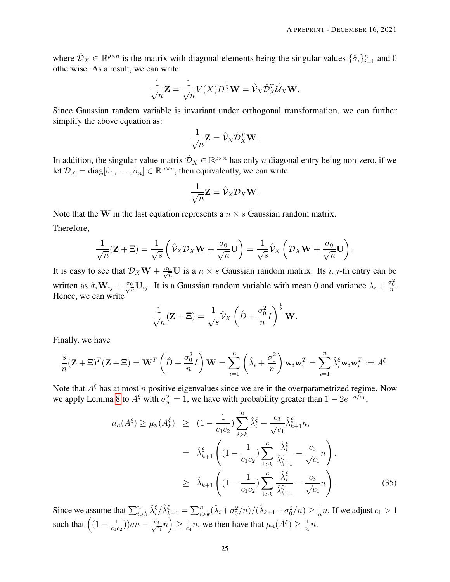where  $\hat{\mathcal{D}}_X \in \mathbb{R}^{p \times n}$  is the matrix with diagonal elements being the singular values  $\{\hat{\sigma}_i\}_{i=1}^n$  and 0 otherwise. As a result, we can write

$$
\frac{1}{\sqrt{n}}\mathbf{Z} = \frac{1}{\sqrt{n}}V(X)D^{\frac{1}{2}}\mathbf{W} = \hat{\mathcal{V}}_X\hat{\mathcal{D}}_X^T\hat{\mathcal{U}}_X\mathbf{W}.
$$

Since Gaussian random variable is invariant under orthogonal transformation, we can further simplify the above equation as:

$$
\frac{1}{\sqrt{n}}\mathbf{Z} = \hat{\mathcal{V}}_X \hat{\mathcal{D}}_X^T \mathbf{W}.
$$

In addition, the singular value matrix  $\hat{\mathcal{D}}_X \in \mathbb{R}^{p \times n}$  has only n diagonal entry being non-zero, if we let  $\mathcal{D}_X = \text{diag}[\hat{\sigma}_1, \dots, \hat{\sigma}_n] \in \mathbb{R}^{n \times n}$ , then equivalently, we can write

$$
\frac{1}{\sqrt{n}}\mathbf{Z} = \hat{\mathcal{V}}_X \mathcal{D}_X \mathbf{W}.
$$

Note that the W in the last equation represents a  $n \times s$  Gaussian random matrix. Therefore,

$$
\frac{1}{\sqrt{n}}(\mathbf{Z}+\Xi)=\frac{1}{\sqrt{s}}\left(\hat{\mathcal{V}}_X\mathcal{D}_X\mathbf{W}+\frac{\sigma_0}{\sqrt{n}}\mathbf{U}\right)=\frac{1}{\sqrt{s}}\hat{\mathcal{V}}_X\left(\mathcal{D}_X\mathbf{W}+\frac{\sigma_0}{\sqrt{n}}\mathbf{U}\right).
$$

It is easy to see that  $\mathcal{D}_X \mathbf{W} + \frac{\sigma_0}{\sqrt{n}} \mathbf{U}$  is a  $n \times s$  Gaussian random matrix. Its *i*, *j*-th entry can be written as  $\hat{\sigma}_i \mathbf{W}_{ij} + \frac{\sigma_0}{\sqrt{n}} \mathbf{U}_{ij}$ . It is a Gaussian random variable with mean 0 and variance  $\lambda_i + \frac{\sigma_0^2}{n}$ . Hence, we can write

$$
\frac{1}{\sqrt{n}}(\mathbf{Z} + \mathbf{\Xi}) = \frac{1}{\sqrt{s}}\hat{\mathcal{V}}_X \left(\hat{D} + \frac{\sigma_0^2}{n}I\right)^{\frac{1}{2}} \mathbf{W}.
$$

Finally, we have

$$
\frac{s}{n}(\mathbf{Z} + \mathbf{\Xi})^T(\mathbf{Z} + \mathbf{\Xi}) = \mathbf{W}^T\left(\hat{D} + \frac{\sigma_0^2}{n}I\right)\mathbf{W} = \sum_{i=1}^n \left(\hat{\lambda}_i + \frac{\sigma_0^2}{n}\right)\mathbf{w}_i\mathbf{w}_i^T = \sum_{i=1}^n \hat{\lambda}_i^{\xi}\mathbf{w}_i\mathbf{w}_i^T := A^{\xi}.
$$

Note that  $A^{\xi}$  has at most n positive eigenvalues since we are in the overparametrized regime. Now we apply Lemma [8](#page-22-0) to  $A^{\xi}$  with  $\sigma_w^2 = 1$ , we have with probability greater than  $1 - 2e^{-n/c_1}$ ,

$$
\mu_n(A^{\xi}) \ge \mu_n(A^{\xi}_k) \ge (1 - \frac{1}{c_1 c_2}) \sum_{i > k}^n \hat{\lambda}_i^{\xi} - \frac{c_3}{\sqrt{c_1}} \hat{\lambda}_{k+1}^{\xi} n,
$$
  
\n
$$
= \hat{\lambda}_{k+1}^{\xi} \left( (1 - \frac{1}{c_1 c_2}) \sum_{i > k}^n \frac{\hat{\lambda}_i^{\xi}}{\hat{\lambda}_{k+1}^{\xi}} - \frac{c_3}{\sqrt{c_1}} n \right),
$$
  
\n
$$
\ge \hat{\lambda}_{k+1} \left( (1 - \frac{1}{c_1 c_2}) \sum_{i > k}^n \frac{\hat{\lambda}_i^{\xi}}{\hat{\lambda}_{k+1}^{\xi}} - \frac{c_3}{\sqrt{c_1}} n \right).
$$
 (35)

Since we assume that  $\sum_{i>k}^n \hat{\lambda}_i^{\xi}/\hat{\lambda}_{k+1}^{\xi} = \sum_{i>k}^n (\hat{\lambda}_i + \sigma_0^2/n)/(\hat{\lambda}_{k+1} + \sigma_0^2/n) \ge \frac{1}{a}$  $\frac{1}{a}n$ . If we adjust  $c_1 > 1$ such that  $\left(1 - \frac{1}{c_1}\right)$  $\frac{1}{c_1c_2})$ ) $an - \frac{c_3}{\sqrt{c}}$  $\frac{3}{c_1}n \Big) \geq \frac{1}{c_4}$  $\frac{1}{c_4}n$ , we then have that  $\mu_n(A^{\xi}) \geq \frac{1}{c_5}$  $\frac{1}{c_5}n$ .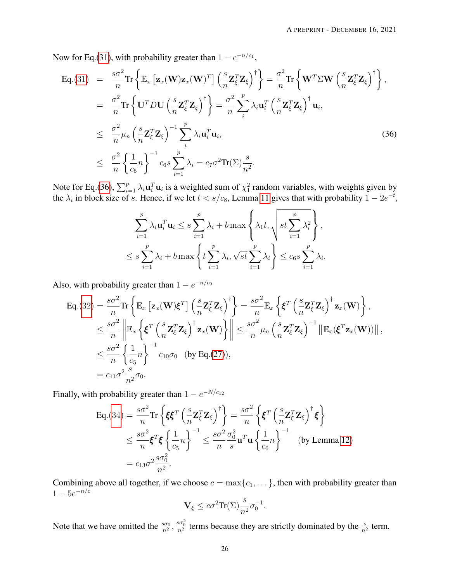Now for Eq.[\(31\)](#page-22-1), with probability greater than  $1 - e^{-n/c_1}$ ,

<span id="page-25-0"></span>
$$
\begin{split}\n\text{Eq.}(31) &= \frac{s\sigma^2}{n} \text{Tr} \left\{ \mathbb{E}_x \left[ \mathbf{z}_x (\mathbf{W}) \mathbf{z}_x (\mathbf{W})^T \right] \left( \frac{s}{n} \mathbf{Z}_{\xi}^T \mathbf{Z}_{\xi} \right)^{\dagger} \right\} = \frac{\sigma^2}{n} \text{Tr} \left\{ \mathbf{W}^T \Sigma \mathbf{W} \left( \frac{s}{n} \mathbf{Z}_{\xi}^T \mathbf{Z}_{\xi} \right)^{\dagger} \right\}, \\
&= \frac{\sigma^2}{n} \text{Tr} \left\{ \mathbf{U}^T D \mathbf{U} \left( \frac{s}{n} \mathbf{Z}_{\xi}^T \mathbf{Z}_{\xi} \right)^{\dagger} \right\} = \frac{\sigma^2}{n} \sum_{i}^{p} \lambda_i \mathbf{u}_i^T \left( \frac{s}{n} \mathbf{Z}_{\xi}^T \mathbf{Z}_{\xi} \right)^{\dagger} \mathbf{u}_i, \\
&\leq \frac{\sigma^2}{n} \mu_n \left( \frac{s}{n} \mathbf{Z}_{\xi}^T \mathbf{Z}_{\xi} \right)^{-1} \sum_{i}^{p} \lambda_i \mathbf{u}_i^T \mathbf{u}_i, \\
&\leq \frac{\sigma^2}{n} \left\{ \frac{1}{c_5} n \right\}^{-1} c_6 s \sum_{i=1}^{p} \lambda_i = c_7 \sigma^2 \text{Tr}(\Sigma) \frac{s}{n^2}.\n\end{split} \tag{36}
$$

Note for Eq.[\(36\)](#page-25-0),  $\sum_{i=1}^p \lambda_i \mathbf{u}_i^T \mathbf{u}_i$  is a weighted sum of  $\chi^2$  random variables, with weights given by the  $\lambda_i$  in block size of s. Hence, if we let  $t < s/c_8$ , Lemma [11](#page-30-0) gives that with probability  $1 - 2e^{-t}$ ,

$$
\sum_{i=1}^{p} \lambda_i \mathbf{u}_i^T \mathbf{u}_i \leq s \sum_{i=1}^{p} \lambda_i + b \max \left\{ \lambda_1 t, \sqrt{st \sum_{i=1}^{p} \lambda_i^2} \right\},
$$
  

$$
\leq s \sum_{i=1}^{p} \lambda_i + b \max \left\{ t \sum_{i=1}^{p} \lambda_i, \sqrt{st} \sum_{i=1}^{p} \lambda_i \right\} \leq c_6 s \sum_{i=1}^{p} \lambda_i.
$$

Also, with probability greater than  $1 - e^{-n/c_9}$ 

$$
\begin{split} \mathsf{Eq}.(32) &= \frac{s\sigma^2}{n} \mathrm{Tr} \left\{ \mathbb{E}_x \left[ \mathbf{z}_x(\mathbf{W}) \xi^T \right] \left( \frac{s}{n} \mathbf{Z}_{\xi}^T \mathbf{Z}_{\xi} \right)^{\dagger} \right\} = \frac{s\sigma^2}{n} \mathbb{E}_x \left\{ \xi^T \left( \frac{s}{n} \mathbf{Z}_{\xi}^T \mathbf{Z}_{\xi} \right)^{\dagger} \mathbf{z}_x(\mathbf{W}) \right\}, \\ &\leq \frac{s\sigma^2}{n} \left\| \mathbb{E}_x \left\{ \xi^T \left( \frac{s}{n} \mathbf{Z}_{\xi}^T \mathbf{Z}_{\xi} \right)^{\dagger} \mathbf{z}_x(\mathbf{W}) \right\} \right\| \leq \frac{s\sigma^2}{n} \mu_n \left( \frac{s}{n} \mathbf{Z}_{\xi}^T \mathbf{Z}_{\xi} \right)^{-1} \left\| \mathbb{E}_x(\xi^T \mathbf{z}_x(\mathbf{W})) \right\|, \\ &\leq \frac{s\sigma^2}{n} \left\{ \frac{1}{c_5} n \right\}^{-1} c_{10} \sigma_0 \quad \text{(by Eq.(27))}, \\ &= c_{11} \sigma^2 \frac{s}{n^2} \sigma_0. \end{split}
$$

Finally, with probability greater than  $1 - e^{-N/c_{12}}$ 

$$
\begin{split} \text{Eq.}(34) &= \frac{s\sigma^2}{n} \text{Tr} \left\{ \xi \xi^T \left( \frac{s}{n} \mathbf{Z}_{\xi}^T \mathbf{Z}_{\xi} \right)^{\dagger} \right\} = \frac{s\sigma^2}{n} \left\{ \xi^T \left( \frac{s}{n} \mathbf{Z}_{\xi}^T \mathbf{Z}_{\xi} \right)^{\dagger} \xi \right\} \\ &\leq \frac{s\sigma^2}{n} \xi^T \xi \left\{ \frac{1}{c_5} n \right\}^{-1} \leq \frac{s\sigma^2}{n} \frac{\sigma_0^2}{s} \mathbf{u}^T \mathbf{u} \left\{ \frac{1}{c_6} n \right\}^{-1} \quad \text{(by Lemma 12)} \\ &= c_{13} \sigma^2 \frac{s\sigma_0^2}{n^2}. \end{split}
$$

Combining above all together, if we choose  $c = \max\{c_1, \dots\}$ , then with probability greater than  $1 - 5e^{-n/c}$ 

$$
\mathbf{V}_{\xi} \leq c \sigma^2 \mathrm{Tr}(\Sigma) \frac{s}{n^2} \sigma_0^{-1}.
$$

Note that we have omitted the  $\frac{s\sigma_0}{n^2}$ ,  $\frac{s\sigma_0^2}{n^2}$  terms because they are strictly dominated by the  $\frac{s}{n^2}$  term.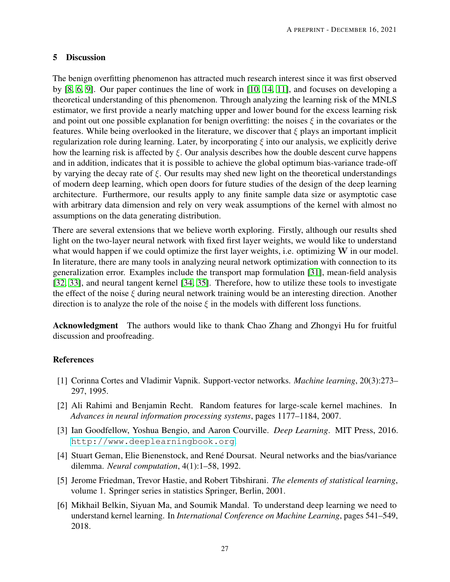# 5 Discussion

The benign overfitting phenomenon has attracted much research interest since it was first observed by [\[8,](#page-27-1) [6,](#page-26-5) [9\]](#page-27-2). Our paper continues the line of work in [\[10,](#page-27-3) [14,](#page-27-7) [11\]](#page-27-4), and focuses on developing a theoretical understanding of this phenomenon. Through analyzing the learning risk of the MNLS estimator, we first provide a nearly matching upper and lower bound for the excess learning risk and point out one possible explanation for benign overfitting: the noises  $\xi$  in the covariates or the features. While being overlooked in the literature, we discover that  $\xi$  plays an important implicit regularization role during learning. Later, by incorporating  $\xi$  into our analysis, we explicitly derive how the learning risk is affected by  $\xi$ . Our analysis describes how the double descent curve happens and in addition, indicates that it is possible to achieve the global optimum bias-variance trade-off by varying the decay rate of  $\xi$ . Our results may shed new light on the theoretical understandings of modern deep learning, which open doors for future studies of the design of the deep learning architecture. Furthermore, our results apply to any finite sample data size or asymptotic case with arbitrary data dimension and rely on very weak assumptions of the kernel with almost no assumptions on the data generating distribution.

There are several extensions that we believe worth exploring. Firstly, although our results shed light on the two-layer neural network with fixed first layer weights, we would like to understand what would happen if we could optimize the first layer weights, i.e. optimizing W in our model. In literature, there are many tools in analyzing neural network optimization with connection to its generalization error. Examples include the transport map formulation [\[31\]](#page-28-8), mean-field analysis [\[32,](#page-28-9) [33\]](#page-28-10), and neural tangent kernel [\[34,](#page-28-11) [35\]](#page-28-12). Therefore, how to utilize these tools to investigate the effect of the noise  $\xi$  during neural network training would be an interesting direction. Another direction is to analyze the role of the noise  $\xi$  in the models with different loss functions.

Acknowledgment The authors would like to thank Chao Zhang and Zhongyi Hu for fruitful discussion and proofreading.

# References

- <span id="page-26-0"></span>[1] Corinna Cortes and Vladimir Vapnik. Support-vector networks. *Machine learning*, 20(3):273– 297, 1995.
- <span id="page-26-1"></span>[2] Ali Rahimi and Benjamin Recht. Random features for large-scale kernel machines. In *Advances in neural information processing systems*, pages 1177–1184, 2007.
- <span id="page-26-2"></span>[3] Ian Goodfellow, Yoshua Bengio, and Aaron Courville. *Deep Learning*. MIT Press, 2016. <http://www.deeplearningbook.org>.
- <span id="page-26-3"></span>[4] Stuart Geman, Elie Bienenstock, and René Doursat. Neural networks and the bias/variance dilemma. *Neural computation*, 4(1):1–58, 1992.
- <span id="page-26-4"></span>[5] Jerome Friedman, Trevor Hastie, and Robert Tibshirani. *The elements of statistical learning*, volume 1. Springer series in statistics Springer, Berlin, 2001.
- <span id="page-26-5"></span>[6] Mikhail Belkin, Siyuan Ma, and Soumik Mandal. To understand deep learning we need to understand kernel learning. In *International Conference on Machine Learning*, pages 541–549, 2018.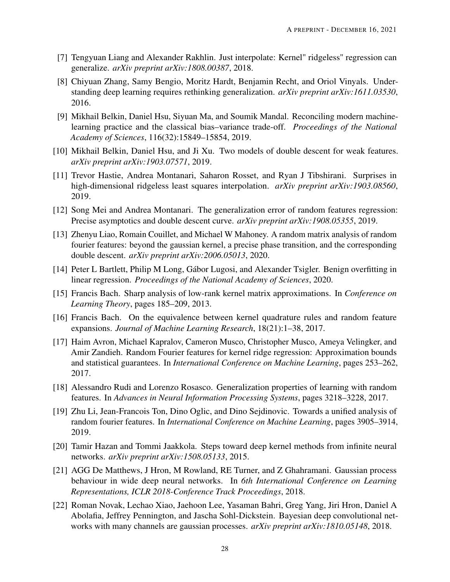- <span id="page-27-0"></span>[7] Tengyuan Liang and Alexander Rakhlin. Just interpolate: Kernel" ridgeless" regression can generalize. *arXiv preprint arXiv:1808.00387*, 2018.
- <span id="page-27-1"></span>[8] Chiyuan Zhang, Samy Bengio, Moritz Hardt, Benjamin Recht, and Oriol Vinyals. Understanding deep learning requires rethinking generalization. *arXiv preprint arXiv:1611.03530*, 2016.
- <span id="page-27-2"></span>[9] Mikhail Belkin, Daniel Hsu, Siyuan Ma, and Soumik Mandal. Reconciling modern machinelearning practice and the classical bias–variance trade-off. *Proceedings of the National Academy of Sciences*, 116(32):15849–15854, 2019.
- <span id="page-27-3"></span>[10] Mikhail Belkin, Daniel Hsu, and Ji Xu. Two models of double descent for weak features. *arXiv preprint arXiv:1903.07571*, 2019.
- <span id="page-27-4"></span>[11] Trevor Hastie, Andrea Montanari, Saharon Rosset, and Ryan J Tibshirani. Surprises in high-dimensional ridgeless least squares interpolation. *arXiv preprint arXiv:1903.08560*, 2019.
- <span id="page-27-5"></span>[12] Song Mei and Andrea Montanari. The generalization error of random features regression: Precise asymptotics and double descent curve. *arXiv preprint arXiv:1908.05355*, 2019.
- <span id="page-27-6"></span>[13] Zhenyu Liao, Romain Couillet, and Michael W Mahoney. A random matrix analysis of random fourier features: beyond the gaussian kernel, a precise phase transition, and the corresponding double descent. *arXiv preprint arXiv:2006.05013*, 2020.
- <span id="page-27-7"></span>[14] Peter L Bartlett, Philip M Long, Gábor Lugosi, and Alexander Tsigler. Benign overfitting in linear regression. *Proceedings of the National Academy of Sciences*, 2020.
- <span id="page-27-8"></span>[15] Francis Bach. Sharp analysis of low-rank kernel matrix approximations. In *Conference on Learning Theory*, pages 185–209, 2013.
- <span id="page-27-9"></span>[16] Francis Bach. On the equivalence between kernel quadrature rules and random feature expansions. *Journal of Machine Learning Research*, 18(21):1–38, 2017.
- <span id="page-27-10"></span>[17] Haim Avron, Michael Kapralov, Cameron Musco, Christopher Musco, Ameya Velingker, and Amir Zandieh. Random Fourier features for kernel ridge regression: Approximation bounds and statistical guarantees. In *International Conference on Machine Learning*, pages 253–262, 2017.
- <span id="page-27-11"></span>[18] Alessandro Rudi and Lorenzo Rosasco. Generalization properties of learning with random features. In *Advances in Neural Information Processing Systems*, pages 3218–3228, 2017.
- <span id="page-27-12"></span>[19] Zhu Li, Jean-Francois Ton, Dino Oglic, and Dino Sejdinovic. Towards a unified analysis of random fourier features. In *International Conference on Machine Learning*, pages 3905–3914, 2019.
- <span id="page-27-13"></span>[20] Tamir Hazan and Tommi Jaakkola. Steps toward deep kernel methods from infinite neural networks. *arXiv preprint arXiv:1508.05133*, 2015.
- <span id="page-27-14"></span>[21] AGG De Matthews, J Hron, M Rowland, RE Turner, and Z Ghahramani. Gaussian process behaviour in wide deep neural networks. In *6th International Conference on Learning Representations, ICLR 2018-Conference Track Proceedings*, 2018.
- <span id="page-27-15"></span>[22] Roman Novak, Lechao Xiao, Jaehoon Lee, Yasaman Bahri, Greg Yang, Jiri Hron, Daniel A Abolafia, Jeffrey Pennington, and Jascha Sohl-Dickstein. Bayesian deep convolutional networks with many channels are gaussian processes. *arXiv preprint arXiv:1810.05148*, 2018.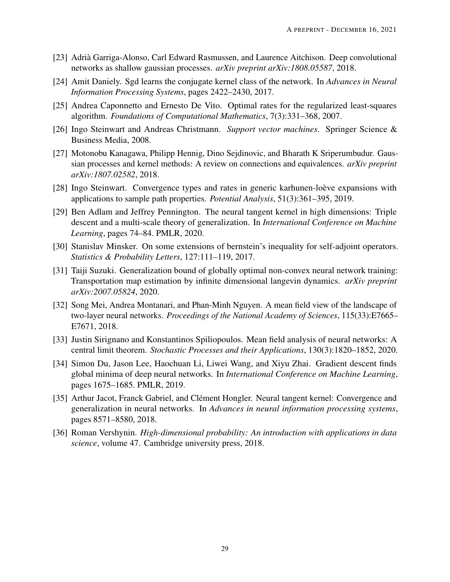- <span id="page-28-0"></span>[23] Adrià Garriga-Alonso, Carl Edward Rasmussen, and Laurence Aitchison. Deep convolutional networks as shallow gaussian processes. *arXiv preprint arXiv:1808.05587*, 2018.
- <span id="page-28-1"></span>[24] Amit Daniely. Sgd learns the conjugate kernel class of the network. In *Advances in Neural Information Processing Systems*, pages 2422–2430, 2017.
- <span id="page-28-2"></span>[25] Andrea Caponnetto and Ernesto De Vito. Optimal rates for the regularized least-squares algorithm. *Foundations of Computational Mathematics*, 7(3):331–368, 2007.
- <span id="page-28-3"></span>[26] Ingo Steinwart and Andreas Christmann. *Support vector machines*. Springer Science & Business Media, 2008.
- <span id="page-28-4"></span>[27] Motonobu Kanagawa, Philipp Hennig, Dino Sejdinovic, and Bharath K Sriperumbudur. Gaussian processes and kernel methods: A review on connections and equivalences. *arXiv preprint arXiv:1807.02582*, 2018.
- <span id="page-28-5"></span>[28] Ingo Steinwart. Convergence types and rates in generic karhunen-loève expansions with applications to sample path properties. *Potential Analysis*, 51(3):361–395, 2019.
- <span id="page-28-6"></span>[29] Ben Adlam and Jeffrey Pennington. The neural tangent kernel in high dimensions: Triple descent and a multi-scale theory of generalization. In *International Conference on Machine Learning*, pages 74–84. PMLR, 2020.
- <span id="page-28-7"></span>[30] Stanislav Minsker. On some extensions of bernstein's inequality for self-adjoint operators. *Statistics & Probability Letters*, 127:111–119, 2017.
- <span id="page-28-8"></span>[31] Taiji Suzuki. Generalization bound of globally optimal non-convex neural network training: Transportation map estimation by infinite dimensional langevin dynamics. *arXiv preprint arXiv:2007.05824*, 2020.
- <span id="page-28-9"></span>[32] Song Mei, Andrea Montanari, and Phan-Minh Nguyen. A mean field view of the landscape of two-layer neural networks. *Proceedings of the National Academy of Sciences*, 115(33):E7665– E7671, 2018.
- <span id="page-28-10"></span>[33] Justin Sirignano and Konstantinos Spiliopoulos. Mean field analysis of neural networks: A central limit theorem. *Stochastic Processes and their Applications*, 130(3):1820–1852, 2020.
- <span id="page-28-11"></span>[34] Simon Du, Jason Lee, Haochuan Li, Liwei Wang, and Xiyu Zhai. Gradient descent finds global minima of deep neural networks. In *International Conference on Machine Learning*, pages 1675–1685. PMLR, 2019.
- <span id="page-28-12"></span>[35] Arthur Jacot, Franck Gabriel, and Clément Hongler. Neural tangent kernel: Convergence and generalization in neural networks. In *Advances in neural information processing systems*, pages 8571–8580, 2018.
- <span id="page-28-13"></span>[36] Roman Vershynin. *High-dimensional probability: An introduction with applications in data science*, volume 47. Cambridge university press, 2018.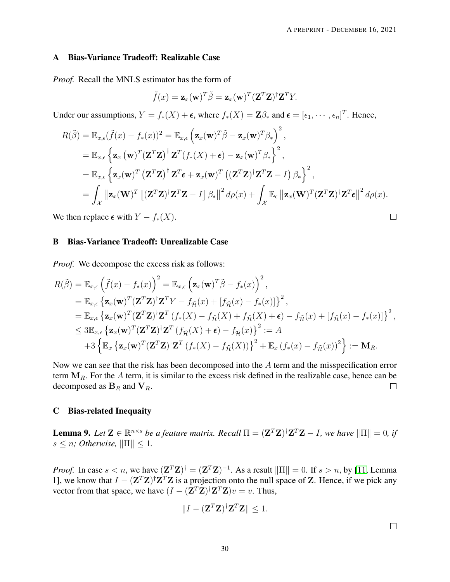#### <span id="page-29-0"></span>A Bias-Variance Tradeoff: Realizable Case

*Proof.* Recall the MNLS estimator has the form of

$$
\tilde{f}(x) = \mathbf{z}_x(\mathbf{w})^T \tilde{\beta} = \mathbf{z}_x(\mathbf{w})^T (\mathbf{Z}^T \mathbf{Z})^{\dagger} \mathbf{Z}^T Y.
$$

Under our assumptions,  $Y = f_*(X) + \epsilon$ , where  $f_*(X) = \mathbb{Z}\beta_*$  and  $\epsilon = [\epsilon_1, \dots, \epsilon_n]^T$ . Hence,

$$
R(\tilde{\beta}) = \mathbb{E}_{x,\epsilon}(\tilde{f}(x) - f_*(x))^2 = \mathbb{E}_{x,\epsilon} \left( \mathbf{z}_x(\mathbf{w})^T \tilde{\beta} - \mathbf{z}_x(\mathbf{w})^T \beta_* \right)^2,
$$
  
\n
$$
= \mathbb{E}_{x,\epsilon} \left\{ \mathbf{z}_x(\mathbf{w})^T (\mathbf{Z}^T \mathbf{Z})^\dagger \mathbf{Z}^T (f_*(X) + \epsilon) - \mathbf{z}_x(\mathbf{w})^T \beta_* \right\}^2,
$$
  
\n
$$
= \mathbb{E}_{x,\epsilon} \left\{ \mathbf{z}_x(\mathbf{w})^T (\mathbf{Z}^T \mathbf{Z})^\dagger \mathbf{Z}^T \epsilon + \mathbf{z}_x(\mathbf{w})^T ((\mathbf{Z}^T \mathbf{Z})^\dagger \mathbf{Z}^T \mathbf{Z} - I) \beta_* \right\}^2,
$$
  
\n
$$
= \int_{\mathcal{X}} ||\mathbf{z}_x(\mathbf{W})^T [(\mathbf{Z}^T \mathbf{Z})^\dagger \mathbf{Z}^T \mathbf{Z} - I] \beta_* ||^2 d\rho(x) + \int_{\mathcal{X}} \mathbb{E}_{\epsilon} ||\mathbf{z}_x(\mathbf{W})^T (\mathbf{Z}^T \mathbf{Z})^\dagger \mathbf{Z}^T \epsilon ||^2 d\rho(x).
$$

We then replace  $\epsilon$  with  $Y - f_*(X)$ .

#### <span id="page-29-1"></span>B Bias-Variance Tradeoff: Unrealizable Case

*Proof.* We decompose the excess risk as follows:

$$
R(\tilde{\beta}) = \mathbb{E}_{x,\epsilon} \left( \tilde{f}(x) - f_*(x) \right)^2 = \mathbb{E}_{x,\epsilon} \left( \mathbf{z}_x(\mathbf{w})^T \tilde{\beta} - f_*(x) \right)^2,
$$
  
\n
$$
= \mathbb{E}_{x,\epsilon} \left\{ \mathbf{z}_x(\mathbf{w})^T (\mathbf{Z}^T \mathbf{Z})^\dagger \mathbf{Z}^T Y - f_{\tilde{\mathcal{H}}}(x) + [f_{\tilde{\mathcal{H}}}(x) - f_*(x)] \right\}^2,
$$
  
\n
$$
= \mathbb{E}_{x,\epsilon} \left\{ \mathbf{z}_x(\mathbf{w})^T (\mathbf{Z}^T \mathbf{Z})^\dagger \mathbf{Z}^T (f_*(X) - f_{\tilde{\mathcal{H}}}(X) + f_{\tilde{\mathcal{H}}}(X) + \epsilon) - f_{\tilde{\mathcal{H}}}(x) + [f_{\tilde{\mathcal{H}}}(x) - f_*(x)] \right\}^2,
$$
  
\n
$$
\leq 3 \mathbb{E}_{x,\epsilon} \left\{ \mathbf{z}_x(\mathbf{w})^T (\mathbf{Z}^T \mathbf{Z})^\dagger \mathbf{Z}^T (f_{\tilde{\mathcal{H}}}(X) + \epsilon) - f_{\tilde{\mathcal{H}}}(x) \right\}^2 := A
$$
  
\n
$$
+ 3 \left\{ \mathbb{E}_x \left\{ \mathbf{z}_x(\mathbf{w})^T (\mathbf{Z}^T \mathbf{Z})^\dagger \mathbf{Z}^T (f_*(X) - f_{\tilde{\mathcal{H}}}(X)) \right\}^2 + \mathbb{E}_x (f_*(x) - f_{\tilde{\mathcal{H}}}(x))^2 \right\} := \mathbf{M}_R.
$$

Now we can see that the risk has been decomposed into the A term and the misspecification error term  $M_R$ . For the A term, it is similar to the excess risk defined in the realizable case, hence can be decomposed as  $B_R$  and  $V_R$ .  $\Box$ 

#### C Bias-related Inequaity

<span id="page-29-2"></span>**Lemma 9.** Let  $\mathbf{Z} \in \mathbb{R}^{n \times s}$  be a feature matrix. Recall  $\Pi = (\mathbf{Z}^T \mathbf{Z})^{\dagger} \mathbf{Z}^T \mathbf{Z} - I$ , we have  $\|\Pi\| = 0$ , if  $s \leq n$ ; Otherwise,  $\|\Pi\| \leq 1$ .

*Proof.* In case  $s < n$ , we have  $(\mathbf{Z}^T \mathbf{Z})^{\dagger} = (\mathbf{Z}^T \mathbf{Z})^{-1}$ . As a result  $\|\Pi\| = 0$ . If  $s > n$ , by [\[11,](#page-27-4) Lemma 1], we know that  $I - (Z^T Z)^{\dagger} Z^T Z$  is a projection onto the null space of Z. Hence, if we pick any vector from that space, we have  $(I - (\mathbf{Z}^T \mathbf{Z})^{\dagger} \mathbf{Z}^T \mathbf{Z})v = v$ . Thus,

$$
||I - (\mathbf{Z}^T \mathbf{Z})^\dagger \mathbf{Z}^T \mathbf{Z} || \leq 1.
$$

 $\Box$ 

 $\Box$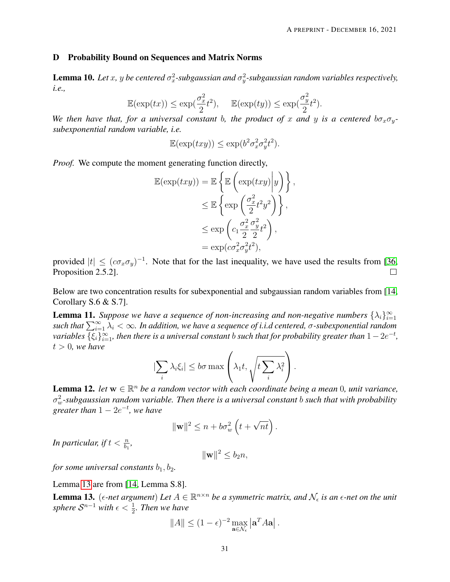#### D Probability Bound on Sequences and Matrix Norms

<span id="page-30-3"></span>**Lemma 10.** Let x, y be centered  $\sigma_x^2$ -subgaussian and  $\sigma_y^2$ -subgaussian random variables respectively, *i.e.,*

$$
\mathbb{E}(\exp(tx)) \le \exp(\frac{\sigma_x^2}{2}t^2), \quad \mathbb{E}(\exp(ty)) \le \exp(\frac{\sigma_y^2}{2}t^2).
$$

*We then have that, for a universal constant b, the product of x and y is a centered*  $b\sigma_x\sigma_y$ *subexponential random variable, i.e.*

$$
\mathbb{E}(\exp(txy)) \le \exp(b^2 \sigma_x^2 \sigma_y^2 t^2).
$$

*Proof.* We compute the moment generating function directly,

$$
\mathbb{E}(\exp(txy)) = \mathbb{E}\left\{\mathbb{E}\left(\exp(txy)\middle|y\right)\right\},\
$$

$$
\leq \mathbb{E}\left\{\exp\left(\frac{\sigma_x^2}{2}t^2y^2\right)\right\},\
$$

$$
\leq \exp\left(c_1\frac{\sigma_x^2}{2}\frac{\sigma_y^2}{2}t^2\right),\
$$

$$
= \exp(c\sigma_x^2\sigma_y^2t^2),
$$

provided  $|t| \leq (c\sigma_x\sigma_y)^{-1}$ . Note that for the last inequality, we have used the results from [\[36,](#page-28-13) Proposition 2.5.2].  $\Box$ 

Below are two concentration results for subexponential and subgaussian random variables from [\[14,](#page-27-7) Corollary S.6 & S.7].

<span id="page-30-0"></span>**Lemma 11.** Suppose we have a sequence of non-increasing and non-negative numbers  $\{\lambda_i\}_{i=1}^{\infty}$  $such that \sum_{i=1}^{\infty} \lambda_i < \infty$ . In addition, we have a sequence of *i.i.d centered*,  $\sigma$ -subexponential random  $variable$ s  $\{\xi_i\}_{i=1}^\infty$ , then there is a universal constant  $b$  such that for probability greater than  $1-2e^{-t}$ ,  $t > 0$ , we have

$$
|\sum_{i} \lambda_i \xi_i| \leq b\sigma \max\left(\lambda_1 t, \sqrt{t \sum_{i} \lambda_i^2}\right).
$$

<span id="page-30-2"></span>**Lemma 12.** *let*  $w \in \mathbb{R}^n$  *be a random vector with each coordinate being a mean* 0*, unit variance,* σ 2 <sup>w</sup>*-subgaussian random variable. Then there is a universal constant* b *such that with probability*  $g$ *reater than*  $1 - 2e^{-t}$ *, we have* 

$$
\|\mathbf{w}\|^2 \le n + b\sigma_w^2\left(t + \sqrt{nt}\right).
$$

In particular, if  $t < \frac{n}{b_1}$ ,

$$
\|\mathbf{w}\|^2 \le b_2 n,
$$

*for some universal constants*  $b_1$ ,  $b_2$ .

#### Lemma [13](#page-30-1) are from [\[14,](#page-27-7) Lemma S.8].

<span id="page-30-1"></span>**Lemma 13.** ( $\epsilon$ -net argument) Let  $A \in \mathbb{R}^{n \times n}$  be a symmetric matrix, and  $\mathcal{N}_{\epsilon}$  is an  $\epsilon$ -net on the unit sphere  $\mathcal{S}^{n-1}$  with  $\epsilon < \frac{1}{2}$ *. Then we have* 

$$
||A|| \le (1 - \epsilon)^{-2} \max_{\mathbf{a} \in \mathcal{N}_{\epsilon}} |\mathbf{a}^T A \mathbf{a}|.
$$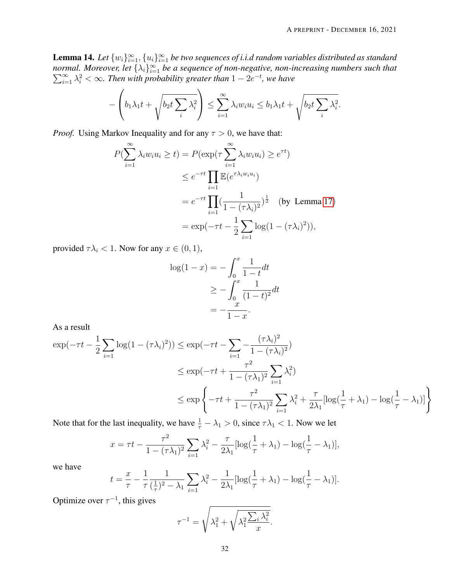<span id="page-31-0"></span>**Lemma 14.** Let  $\{w_i\}_{i=1}^{\infty}, \{u_i\}_{i=1}^{\infty}$  be two sequences of i.i.d random variables distributed as standard *normal. Moreover, let*  $\{\lambda_i\}_{i=1}^{\infty}$  $\sum$ rmal. Moreover, let  $\{\lambda_i\}_{i=1}^{\infty}$  be a sequence of non-negative, non-increasing numbers such that  $\sum_{i=1}^{\infty}\lambda_i^2 < \infty$ . Then with probability greater than  $1 - 2e^{-t}$ , we have

$$
-\left(b_1\lambda_1t+\sqrt{b_2t\sum_i\lambda_i^2}\right)\leq \sum_{i=1}^\infty\lambda_iw_iu_i\leq b_1\lambda_1t+\sqrt{b_2t\sum_i\lambda_i^2}.
$$

*Proof.* Using Markov Inequality and for any  $\tau > 0$ , we have that:

$$
P(\sum_{i=1}^{\infty} \lambda_i w_i u_i \ge t) = P(\exp(\tau \sum_{i=1}^{\infty} \lambda_i w_i u_i) \ge e^{\tau t})
$$
  
\n
$$
\le e^{-\tau t} \prod_{i=1}^{\infty} \mathbb{E}(e^{\tau \lambda_i w_i u_i})
$$
  
\n
$$
= e^{-\tau t} \prod_{i=1}^{\infty} (\frac{1}{1 - (\tau \lambda_i)^2})^{\frac{1}{2}} \text{ (by Lemma 17)}
$$
  
\n
$$
= \exp(-\tau t - \frac{1}{2} \sum_{i=1}^{\infty} \log(1 - (\tau \lambda_i)^2)),
$$

provided  $\tau \lambda_i < 1$ . Now for any  $x \in (0, 1)$ ,

$$
\log(1 - x) = -\int_0^x \frac{1}{1 - t} dt
$$
  
\n
$$
\ge -\int_0^x \frac{1}{(1 - t)^2} dt
$$
  
\n
$$
= -\frac{x}{1 - x}.
$$

As a result

$$
\exp(-\tau t - \frac{1}{2} \sum_{i=1}^{\infty} \log(1 - (\tau \lambda_i)^2)) \le \exp(-\tau t - \sum_{i=1}^{\infty} -\frac{(\tau \lambda_i)^2}{1 - (\tau \lambda_i)^2})
$$
  

$$
\le \exp(-\tau t + \frac{\tau^2}{1 - (\tau \lambda_1)^2} \sum_{i=1}^{\infty} \lambda_i^2)
$$
  

$$
\le \exp\left\{-\tau t + \frac{\tau^2}{1 - (\tau \lambda_1)^2} \sum_{i=1}^{\infty} \lambda_i^2 + \frac{\tau}{2\lambda_1} [\log(\frac{1}{\tau} + \lambda_1) - \log(\frac{1}{\tau} - \lambda_1)]\right\}
$$

Note that for the last inequality, we have  $\frac{1}{\tau} - \lambda_1 > 0$ , since  $\tau \lambda_1 < 1$ . Now we let

$$
x = \tau t - \frac{\tau^2}{1 - (\tau \lambda_1)^2} \sum_{i=1}^{\infty} \lambda_i^2 - \frac{\tau}{2\lambda_1} [\log(\frac{1}{\tau} + \lambda_1) - \log(\frac{1}{\tau} - \lambda_1)],
$$

we have

$$
t = \frac{x}{\tau} - \frac{1}{\tau} \frac{1}{(\frac{1}{\tau})^2 - \lambda_1} \sum_{i=1}^{\infty} \lambda_i^2 - \frac{1}{2\lambda_1} [\log(\frac{1}{\tau} + \lambda_1) - \log(\frac{1}{\tau} - \lambda_1)].
$$

Optimize over  $\tau^{-1}$ , this gives

$$
\tau^{-1} = \sqrt{\lambda_1^2 + \sqrt{\lambda_1^2 \frac{\sum_i \lambda_i^2}{x}}}
$$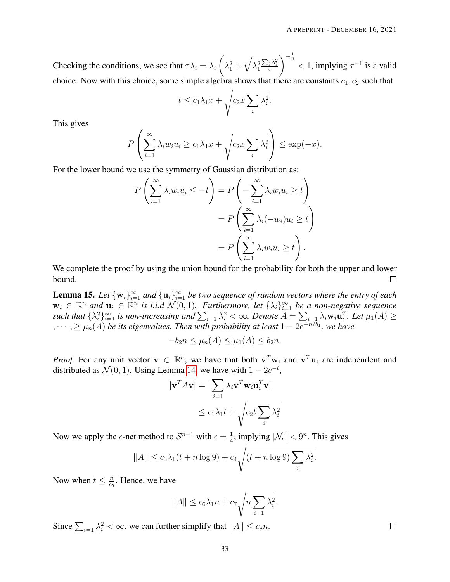Checking the conditions, we see that  $\tau \lambda_i = \lambda_i$  $\sqrt{ }$  $\lambda_1^2+\sqrt{\lambda_1^2}$  $\frac{\sum_i \lambda_i^2}{x}$  $\int_{0}^{-\frac{1}{2}}$  < 1, implying  $\tau^{-1}$  is a valid choice. Now with this choice, some simple algebra shows that there are constants  $c_1, c_2$  such that

$$
t \le c_1 \lambda_1 x + \sqrt{c_2 x \sum_i \lambda_i^2}
$$

.

This gives

$$
P\left(\sum_{i=1}^{\infty}\lambda_iw_iu_i \geq c_1\lambda_1x + \sqrt{c_2x\sum_i\lambda_i^2}\right) \leq \exp(-x).
$$

For the lower bound we use the symmetry of Gaussian distribution as:

$$
P\left(\sum_{i=1}^{\infty} \lambda_i w_i u_i \le -t\right) = P\left(-\sum_{i=1}^{\infty} \lambda_i w_i u_i \ge t\right)
$$
  
= 
$$
P\left(\sum_{i=1}^{\infty} \lambda_i (-w_i) u_i \ge t\right)
$$
  
= 
$$
P\left(\sum_{i=1}^{\infty} \lambda_i w_i u_i \ge t\right).
$$

We complete the proof by using the union bound for the probability for both the upper and lower bound.  $\Box$ 

<span id="page-32-0"></span>**Lemma 15.** Let  $\{w_i\}_{i=1}^{\infty}$  and  $\{u_i\}_{i=1}^{\infty}$  be two sequence of random vectors where the entry of each  $w_i \in \mathbb{R}^n$  and  $u_i \in \mathbb{R}^n$  is i.i.d  $\mathcal{N}(0, 1)$ . Furthermore, let  $\{\lambda_i\}_{i=1}^{\infty}$  be a non-negative sequence such that  $\{\lambda_i^2\}_{i=1}^\infty$  is non-increasing and  $\sum_{i=1}\lambda_i^2<\infty$ . Denote  $A=\sum_{i=1}\lambda_i\mathbf{w}_i\mathbf{u}_i^T$ . Let  $\mu_1(A)\geq$  $\lambda_1, \dots, \lambda_n \geq \mu_n(A)$  *be its eigenvalues. Then with probability at least*  $1 - 2e^{-n/b_1}$ , we have

$$
-b_2n \le \mu_n(A) \le \mu_1(A) \le b_2n.
$$

*Proof.* For any unit vector  $v \in \mathbb{R}^n$ , we have that both  $v^T w_i$  and  $v^T u_i$  are independent and distributed as  $\mathcal{N}(0, 1)$ . Using Lemma [14,](#page-31-0) we have with  $1 - 2e^{-t}$ ,

$$
|\mathbf{v}^T A \mathbf{v}| = |\sum_{i=1} \lambda_i \mathbf{v}^T \mathbf{w}_i \mathbf{u}_i^T \mathbf{v}|
$$
  

$$
\le c_1 \lambda_1 t + \sqrt{c_2 t \sum_i \lambda_i^2}
$$

Now we apply the  $\epsilon$ -net method to  $S^{n-1}$  with  $\epsilon = \frac{1}{4}$  $\frac{1}{4}$ , implying  $|\mathcal{N}_{\epsilon}| < 9^n$ . This gives

$$
||A|| \le c_3 \lambda_1 (t + n \log 9) + c_4 \sqrt{(t + n \log 9) \sum_i \lambda_i^2}.
$$

Now when  $t \leq \frac{n}{c}$  $\frac{n}{c_5}$ . Hence, we have

$$
||A|| \le c_6 \lambda_1 n + c_7 \sqrt{n \sum_{i=1}^n \lambda_i^2}.
$$

Since  $\sum_{i=1} \lambda_i^2 < \infty$ , we can further simplify that  $||A|| \le c_8 n$ .

 $\Box$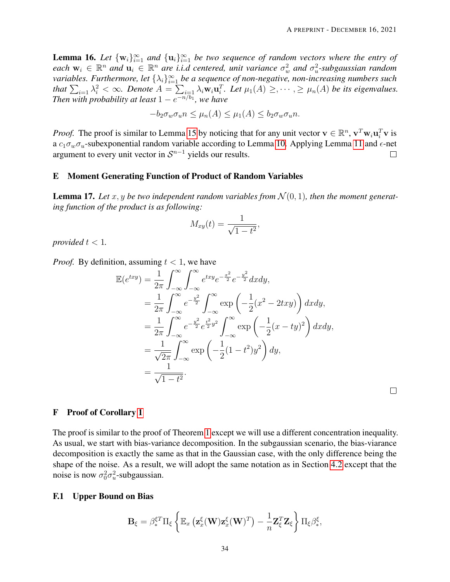<span id="page-33-1"></span>**Lemma 16.** Let  $\{w_i\}_{i=1}^{\infty}$  and  $\{u_i\}_{i=1}^{\infty}$  be two sequence of random vectors where the entry of each  $w_i \in \mathbb{R}^n$  and  $u_i \in \mathbb{R}^n$  are *i.i.d centered, unit variance*  $\sigma_w^2$  and  $\sigma_u^2$ -subgaussian random variables. Furthermore, let  $\{\lambda_i\}_{i=1}^\infty$  be a sequence of non-negative, non-increasing numbers such that  $\sum_{i=1} \lambda_i^2 < \infty$ . Denote  $A = \sum_{i=1} \lambda_i w_i \mathbf{u}_i^T$ . Let  $\mu_1(A) \geq, \cdots, \geq \mu_n(A)$  be its eigenvalues. *Then with probability at least*  $1 - e^{-n/b_1}$ *, we have* 

$$
-b_2\sigma_w\sigma_u n \le \mu_n(A) \le \mu_1(A) \le b_2\sigma_w\sigma_u n.
$$

*Proof.* The proof is similar to Lemma [15](#page-32-0) by noticing that for any unit vector  $v \in \mathbb{R}^n$ ,  $v^T w_i u_i^T v$  is a  $c_1 \sigma_w \sigma_u$ -subexponential random variable according to Lemma [10.](#page-30-3) Applying Lemma [11](#page-30-0) and  $\epsilon$ -net argument to every unit vector in  $S^{n-1}$  yields our results.  $\Box$ 

### E Moment Generating Function of Product of Random Variables

<span id="page-33-0"></span>**Lemma 17.** Let x, y be two independent random variables from  $\mathcal{N}(0, 1)$ , then the moment generat*ing function of the product is as following:*

$$
M_{xy}(t) = \frac{1}{\sqrt{1-t^2}},
$$

*provided*  $t < 1$ *.* 

*Proof.* By definition, assuming  $t < 1$ , we have

$$
\mathbb{E}(e^{txy}) = \frac{1}{2\pi} \int_{-\infty}^{\infty} \int_{-\infty}^{\infty} e^{txy} e^{-\frac{x^2}{2}} e^{-\frac{y^2}{2}} dx dy, \n= \frac{1}{2\pi} \int_{-\infty}^{\infty} e^{-\frac{y^2}{2}} \int_{-\infty}^{\infty} \exp\left(-\frac{1}{2}(x^2 - 2txy)\right) dx dy, \n= \frac{1}{2\pi} \int_{-\infty}^{\infty} e^{-\frac{y^2}{2}} e^{\frac{t^2}{2}y^2} \int_{-\infty}^{\infty} \exp\left(-\frac{1}{2}(x - ty)^2\right) dx dy, \n= \frac{1}{\sqrt{2\pi}} \int_{-\infty}^{\infty} \exp\left(-\frac{1}{2}(1 - t^2)y^2\right) dy, \n= \frac{1}{\sqrt{1 - t^2}}.
$$

 $\Box$ 

#### F Proof of Corollary [1](#page-11-0)

The proof is similar to the proof of Theorem [1](#page-8-0) except we will use a different concentration inequality. As usual, we start with bias-variance decomposition. In the subgaussian scenario, the bias-viarance decomposition is exactly the same as that in the Gaussian case, with the only difference being the shape of the noise. As a result, we will adopt the same notation as in Section [4.2](#page-19-0) except that the noise is now  $\sigma_0^2 \sigma_u^2$ -subgaussian.

#### F.1 Upper Bound on Bias

$$
\mathbf{B}_{\xi} = \beta_{*}^{\xi T} \Pi_{\xi} \left\{ \mathbb{E}_{x} \left( \mathbf{z}_{x}^{\xi}(\mathbf{W}) \mathbf{z}_{x}^{\xi}(\mathbf{W})^{T} \right) - \frac{1}{n} \mathbf{Z}_{\xi}^{T} \mathbf{Z}_{\xi} \right\} \Pi_{\xi} \beta_{*}^{\xi},
$$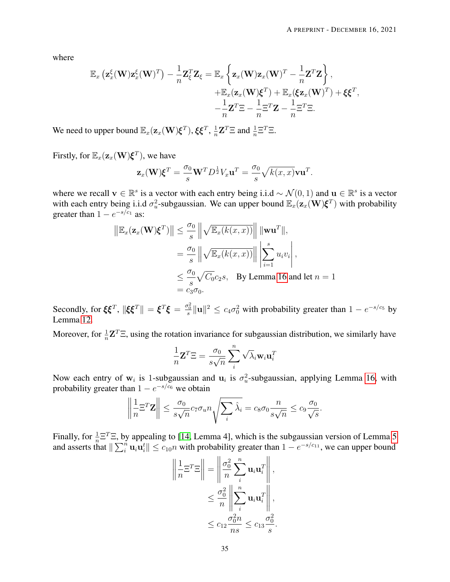where

$$
\mathbb{E}_{x}\left(\mathbf{z}_{x}^{\xi}(\mathbf{W})\mathbf{z}_{x}^{\xi}(\mathbf{W})^{T}\right)-\frac{1}{n}\mathbf{Z}_{\xi}^{T}\mathbf{Z}_{\xi}=\mathbb{E}_{x}\left\{\mathbf{z}_{x}(\mathbf{W})\mathbf{z}_{x}(\mathbf{W})^{T}-\frac{1}{n}\mathbf{Z}^{T}\mathbf{Z}\right\},\n+\mathbb{E}_{x}(\mathbf{z}_{x}(\mathbf{W})\boldsymbol{\xi}^{T})+\mathbb{E}_{x}(\xi\mathbf{z}_{x}(\mathbf{W})^{T})+\xi\boldsymbol{\xi}^{T},\n-\frac{1}{n}\mathbf{Z}^{T}\Xi-\frac{1}{n}\Xi^{T}\mathbf{Z}-\frac{1}{n}\Xi^{T}\Xi.
$$

We need to upper bound  $\mathbb{E}_x(\mathbf{z}_x(\mathbf{W})\boldsymbol{\xi}^T), \boldsymbol{\xi}\boldsymbol{\xi}^T, \frac{1}{n}$  $\frac{1}{n} \mathbf{Z}^T \Xi$  and  $\frac{1}{n} \Xi^T \Xi$ .

Firstly, for  $\mathbb{E}_x(\mathbf{z}_x(\mathbf{W})\boldsymbol{\xi}^T)$ , we have

$$
\mathbf{z}_x(\mathbf{W})\boldsymbol{\xi}^T = \frac{\sigma_0}{s}\mathbf{W}^T D^{\frac{1}{2}}V_x \mathbf{u}^T = \frac{\sigma_0}{s} \sqrt{k(x,x)}\mathbf{v}\mathbf{u}^T.
$$

where we recall  $\mathbf{v} \in \mathbb{R}^s$  is a vector with each entry being i.i.d ~  $\mathcal{N}(0, 1)$  and  $\mathbf{u} \in \mathbb{R}^s$  is a vector with each entry being i.i.d  $\sigma_u^2$ -subgaussian. We can upper bound  $\mathbb{E}_x(\mathbf{z}_x(\mathbf{W})\boldsymbol{\xi}^T)$  with probability greater than  $1 - e^{-s/c_1}$  as:

$$
\|\mathbb{E}_x(\mathbf{z}_x(\mathbf{W})\boldsymbol{\xi}^T)\| \leq \frac{\sigma_0}{s} \left\| \sqrt{\mathbb{E}_x(k(x,x))} \right\| \|\mathbf{w}\mathbf{u}^T\|,
$$
  
\n
$$
= \frac{\sigma_0}{s} \left\| \sqrt{\mathbb{E}_x(k(x,x))} \right\| \left| \sum_{i=1}^s u_i v_i \right|,
$$
  
\n
$$
\leq \frac{\sigma_0}{s} \sqrt{C_0} c_2 s, \quad \text{By Lemma 16 and let } n = 1
$$
  
\n
$$
= c_3 \sigma_0.
$$

Secondly, for  $\xi \xi^T$ ,  $\|\xi \xi^T\| = \xi^T \xi = \frac{\sigma_0^2}{s} \| \mathbf{u} \|^2 \le c_4 \sigma_0^2$  with probability greater than  $1 - e^{-s/c_5}$  by Lemma [12.](#page-30-2)

Moreover, for  $\frac{1}{n} \mathbf{Z}^T \Xi$ , using the rotation invariance for subgaussian distribution, we similarly have

$$
\frac{1}{n}\mathbf{Z}^T \Xi = \frac{\sigma_0}{s\sqrt{n}} \sum_{i}^{n} \sqrt{\lambda_i} \mathbf{w}_i \mathbf{u}_i^T
$$

Now each entry of  $w_i$  is 1-subgaussian and  $u_i$  is  $\sigma_u^2$ -subgaussian, applying Lemma [16,](#page-33-1) with probability greater than  $1 - e^{-s/c_6}$  we obtain

$$
\left\|\frac{1}{n}\Xi^T \mathbf{Z}\right\| \leq \frac{\sigma_0}{s\sqrt{n}} c_7 \sigma_u n \sqrt{\sum_i \hat{\lambda}_i} = c_8 \sigma_0 \frac{n}{s\sqrt{n}} \leq c_9 \frac{\sigma_0}{\sqrt{s}}.
$$

Finally, for  $\frac{1}{n} \Xi^T \Xi$ , by appealing to [\[14,](#page-27-7) Lemma 4], which is the subgaussian version of Lemma [5](#page-17-3) and asserts that  $\|\sum_{i=1}^n u_i u_i^t\| \le c_{10}n$  with probability greater than  $1 - e^{-s/c_{11}}$ , we can upper bound

$$
\left\| \frac{1}{n} \Xi^T \Xi \right\| = \left\| \frac{\sigma_0^2}{n} \sum_i^n \mathbf{u}_i \mathbf{u}_i^T \right\|,
$$
  

$$
\leq \frac{\sigma_0^2}{n} \left\| \sum_i^n \mathbf{u}_i \mathbf{u}_i^T \right\|,
$$
  

$$
\leq c_{12} \frac{\sigma_0^2 n}{ns} \leq c_{13} \frac{\sigma_0^2}{s}.
$$